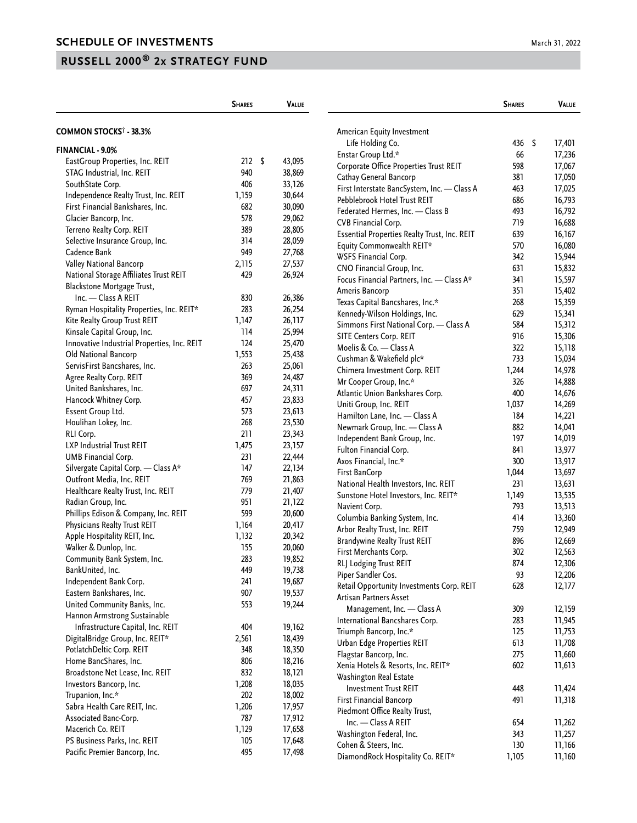|                                             | <b>SHARES</b> | VALUE  |                                              | <b>SHARES</b> | VALUE            |
|---------------------------------------------|---------------|--------|----------------------------------------------|---------------|------------------|
| COMMON STOCKS <sup>†</sup> - 38.3%          |               |        | American Equity Investment                   |               |                  |
|                                             |               |        | Life Holding Co.                             | 436           | \$<br>17,401     |
| <b>FINANCIAL - 9.0%</b>                     |               |        | Enstar Group Ltd.*                           | 66            | 17,236           |
| EastGroup Properties, Inc. REIT             | 212S          | 43,095 | Corporate Office Properties Trust REIT       | 598           | 17,067           |
| STAG Industrial, Inc. REIT                  | 940           | 38,869 | Cathay General Bancorp                       | 381           | 17,050           |
| SouthState Corp.                            | 406           | 33,126 | First Interstate BancSystem, Inc. - Class A  | 463           | 17,025           |
| Independence Realty Trust, Inc. REIT        | 1,159         | 30,644 | Pebblebrook Hotel Trust REIT                 | 686           | 16,793           |
| First Financial Bankshares, Inc.            | 682           | 30,090 | Federated Hermes, Inc. - Class B             | 493           | 16,792           |
| Glacier Bancorp, Inc.                       | 578           | 29,062 | CVB Financial Corp.                          | 719           | 16,688           |
| Terreno Realty Corp. REIT                   | 389           | 28,805 | Essential Properties Realty Trust, Inc. REIT | 639           | 16,167           |
| Selective Insurance Group, Inc.             | 314           | 28,059 | Equity Commonwealth REIT*                    | 570           | 16,080           |
| Cadence Bank                                | 949           | 27,768 | WSFS Financial Corp.                         | 342           | 15,944           |
| Valley National Bancorp                     | 2,115         | 27,537 | CNO Financial Group, Inc.                    | 631           | 15,832           |
| National Storage Affiliates Trust REIT      | 429           | 26,924 | Focus Financial Partners, Inc. - Class A*    | 341           | 15,597           |
| Blackstone Mortgage Trust,                  |               |        | Ameris Bancorp                               | 351           | 15,402           |
| Inc. - Class A REIT                         | 830           | 26,386 | Texas Capital Bancshares, Inc.*              | 268           | 15,359           |
| Ryman Hospitality Properties, Inc. REIT*    | 283           | 26,254 | Kennedy-Wilson Holdings, Inc.                | 629           | 15,341           |
| Kite Realty Group Trust REIT                | 1,147         | 26,117 | Simmons First National Corp. - Class A       | 584           | 15,312           |
| Kinsale Capital Group, Inc.                 | 114           | 25,994 | SITE Centers Corp. REIT                      | 916           | 15,306           |
| Innovative Industrial Properties, Inc. REIT | 124           | 25,470 | Moelis & Co. - Class A                       | 322           | 15,118           |
| Old National Bancorp                        | 1,553         | 25,438 | Cushman & Wakefield plc*                     | 733           | 15,034           |
| ServisFirst Bancshares, Inc.                | 263           | 25,061 | Chimera Investment Corp. REIT                | 1,244         | 14,978           |
| Agree Realty Corp. REIT                     | 369           | 24,487 | Mr Cooper Group, Inc.*                       | 326           | 14,888           |
| United Bankshares, Inc.                     | 697           | 24,311 | Atlantic Union Bankshares Corp.              | 400           | 14,676           |
| Hancock Whitney Corp.                       | 457           | 23,833 | Uniti Group, Inc. REIT                       | 1,037         | 14,269           |
| Essent Group Ltd.                           | 573           | 23,613 | Hamilton Lane, Inc. - Class A                | 184           | 14,221           |
| Houlihan Lokey, Inc.                        | 268           | 23,530 | Newmark Group, Inc. - Class A                | 882           | 14,041           |
| RLI Corp.                                   | 211           | 23,343 | Independent Bank Group, Inc.                 | 197           | 14,019           |
| LXP Industrial Trust REIT                   | 1,475         | 23,157 | Fulton Financial Corp.                       | 841           | 13,977           |
| UMB Financial Corp.                         | 231           | 22,444 | Axos Financial, Inc.*                        | 300           | 13,917           |
| Silvergate Capital Corp. - Class A*         | 147           | 22,134 | First BanCorp                                | 1,044         | 13,697           |
| Outfront Media, Inc. REIT                   | 769           | 21,863 | National Health Investors, Inc. REIT         | 231           | 13,631           |
| Healthcare Realty Trust, Inc. REIT          | 779           | 21,407 | Sunstone Hotel Investors, Inc. REIT*         | 1,149         | 13,535           |
| Radian Group, Inc.                          | 951           | 21,122 | Navient Corp.                                | 793           | 13,513           |
| Phillips Edison & Company, Inc. REIT        | 599           | 20,600 | Columbia Banking System, Inc.                | 414           | 13,360           |
| Physicians Realty Trust REIT                | 1,164         | 20,417 | Arbor Realty Trust, Inc. REIT                | 759           | 12,949           |
| Apple Hospitality REIT, Inc.                | 1,132         | 20,342 | <b>Brandywine Realty Trust REIT</b>          | 896           | 12,669           |
| Walker & Dunlop, Inc.                       | 155           | 20,060 | First Merchants Corp.                        | 302           | 12,563           |
| Community Bank System, Inc.                 | 283           | 19,852 |                                              |               |                  |
| BankUnited, Inc.                            | 449           | 19,738 | RLJ Lodging Trust REIT<br>Piper Sandler Cos. | 874<br>93     | 12,306<br>12,206 |
| Independent Bank Corp.                      | 241           | 19,687 | Retail Opportunity Investments Corp. REIT    | 628           | 12,177           |
| Eastern Bankshares, Inc.                    | 907           | 19,537 | Artisan Partners Asset                       |               |                  |
| United Community Banks, Inc.                | 553           | 19,244 |                                              |               |                  |
| Hannon Armstrong Sustainable                |               |        | Management, Inc. - Class A                   | 309           | 12,159           |
| Infrastructure Capital, Inc. REIT           | 404           | 19,162 | International Bancshares Corp.               | 283           | 11,945           |
| DigitalBridge Group, Inc. REIT*             | 2,561         | 18,439 | Triumph Bancorp, Inc.*                       | 125           | 11,753           |
| PotlatchDeltic Corp. REIT                   | 348           | 18,350 | Urban Edge Properties REIT                   | 613           | 11,708           |
| Home BancShares, Inc.                       | 806           | 18,216 | Flagstar Bancorp, Inc.                       | 275           | 11,660           |
| Broadstone Net Lease, Inc. REIT             | 832           | 18,121 | Xenia Hotels & Resorts, Inc. REIT*           | 602           | 11,613           |
| Investors Bancorp, Inc.                     | 1,208         | 18,035 | Washington Real Estate                       |               |                  |
| Trupanion, Inc.*                            | 202           | 18,002 | <b>Investment Trust REIT</b>                 | 448           | 11,424           |
| Sabra Health Care REIT, Inc.                | 1,206         | 17,957 | First Financial Bancorp                      | 491           | 11,318           |
| Associated Banc-Corp.                       | 787           | 17,912 | Piedmont Office Realty Trust,                |               |                  |
| Macerich Co. REIT                           | 1,129         | 17,658 | Inc. - Class A REIT                          | 654           | 11,262           |
| PS Business Parks, Inc. REIT                | 105           | 17,648 | Washington Federal, Inc.                     | 343           | 11,257           |
| Pacific Premier Bancorp, Inc.               | 495           | 17,498 | Cohen & Steers, Inc.                         | 130           | 11,166           |
|                                             |               |        | DiamondRock Hospitality Co. REIT*            | 1,105         | 11,160           |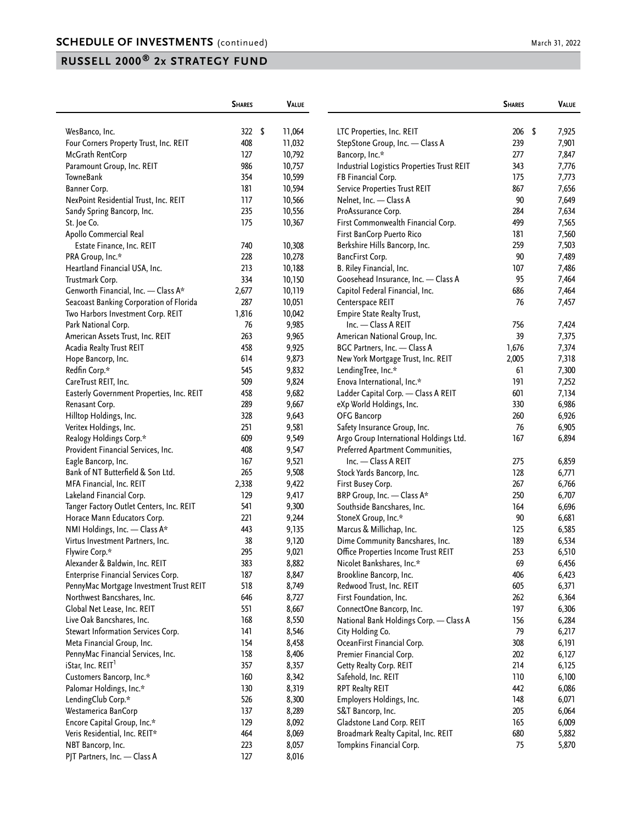|                                           | <b>SHARES</b> | <b>VALUE</b>   |                                                          | <b>SHARES</b> | VALUE       |
|-------------------------------------------|---------------|----------------|----------------------------------------------------------|---------------|-------------|
| WesBanco, Inc.                            | 322S          | 11,064         | LTC Properties, Inc. REIT                                | 206           | \$<br>7,925 |
| Four Corners Property Trust, Inc. REIT    | 408           | 11,032         | StepStone Group, Inc. - Class A                          | 239           | 7,901       |
| McGrath RentCorp                          | 127           | 10,792         | Bancorp, Inc.*                                           | 277           | 7,847       |
| Paramount Group, Inc. REIT                | 986           | 10,757         | Industrial Logistics Properties Trust REIT               | 343           | 7,776       |
| TowneBank                                 | 354           | 10,599         | FB Financial Corp.                                       | 175           | 7,773       |
| Banner Corp.                              | 181           | 10,594         | <b>Service Properties Trust REIT</b>                     | 867           | 7,656       |
| NexPoint Residential Trust, Inc. REIT     | 117           | 10,566         | Nelnet, Inc. - Class A                                   | 90            | 7,649       |
| Sandy Spring Bancorp, Inc.                | 235           | 10,556         | ProAssurance Corp.                                       | 284           | 7,634       |
| St. Joe Co.                               | 175           | 10,367         | First Commonwealth Financial Corp.                       | 499           | 7,565       |
| Apollo Commercial Real                    |               |                | First BanCorp Puerto Rico                                | 181           | 7,560       |
| Estate Finance, Inc. REIT                 | 740           | 10,308         | Berkshire Hills Bancorp, Inc.                            | 259           | 7,503       |
| PRA Group, Inc.*                          | 228           | 10,278         | BancFirst Corp.                                          | 90            | 7,489       |
| Heartland Financial USA, Inc.             | 213           | 10,188         | B. Riley Financial, Inc.                                 | 107           | 7,486       |
| Trustmark Corp.                           | 334           | 10,150         | Goosehead Insurance, Inc. - Class A                      | 95            | 7,464       |
| Genworth Financial, Inc. - Class A*       | 2,677         | 10,119         | Capitol Federal Financial, Inc.                          | 686           | 7,464       |
| Seacoast Banking Corporation of Florida   | 287           |                |                                                          | 76            |             |
| Two Harbors Investment Corp. REIT         | 1,816         | 10,051         | Centerspace REIT                                         |               | 7,457       |
|                                           | 76            | 10,042         | <b>Empire State Realty Trust,</b><br>Inc. - Class A REIT | 756           |             |
| Park National Corp.                       | 263           | 9,985          |                                                          | 39            | 7,424       |
| American Assets Trust, Inc. REIT          | 458           | 9,965          | American National Group, Inc.                            |               | 7,375       |
| Acadia Realty Trust REIT                  | 614           | 9,925<br>9,873 | BGC Partners, Inc. - Class A                             | 1,676         | 7,374       |
| Hope Bancorp, Inc.<br>Redfin Corp.*       | 545           |                | New York Mortgage Trust, Inc. REIT                       | 2,005         | 7,318       |
|                                           |               | 9,832          | LendingTree, Inc.*                                       | 61            | 7,300       |
| CareTrust REIT, Inc.                      | 509           | 9,824          | Enova International, Inc.*                               | 191           | 7,252       |
| Easterly Government Properties, Inc. REIT | 458           | 9,682          | Ladder Capital Corp. - Class A REIT                      | 601           | 7,134       |
| Renasant Corp.                            | 289           | 9,667          | eXp World Holdings, Inc.                                 | 330           | 6,986       |
| Hilltop Holdings, Inc.                    | 328           | 9,643          | OFG Bancorp                                              | 260           | 6,926       |
| Veritex Holdings, Inc.                    | 251           | 9,581          | Safety Insurance Group, Inc.                             | 76            | 6,905       |
| Realogy Holdings Corp.*                   | 609           | 9,549          | Argo Group International Holdings Ltd.                   | 167           | 6,894       |
| Provident Financial Services, Inc.        | 408           | 9,547          | Preferred Apartment Communities,                         |               |             |
| Eagle Bancorp, Inc.                       | 167           | 9,521          | Inc. - Class A REIT                                      | 275           | 6,859       |
| Bank of NT Butterfield & Son Ltd.         | 265           | 9,508          | Stock Yards Bancorp, Inc.                                | 128           | 6,771       |
| MFA Financial, Inc. REIT                  | 2,338         | 9,422          | First Busey Corp.                                        | 267           | 6,766       |
| Lakeland Financial Corp.                  | 129           | 9,417          | BRP Group, Inc. - Class A*                               | 250           | 6,707       |
| Tanger Factory Outlet Centers, Inc. REIT  | 541           | 9,300          | Southside Bancshares, Inc.                               | 164           | 6,696       |
| Horace Mann Educators Corp.               | 221           | 9,244          | StoneX Group, Inc.*                                      | 90            | 6,681       |
| NMI Holdings, Inc. - Class A*             | 443           | 9,135          | Marcus & Millichap, Inc.                                 | 125           | 6,585       |
| Virtus Investment Partners, Inc.          | 38            | 9,120          | Dime Community Bancshares, Inc.                          | 189           | 6,534       |
| Flywire Corp.*                            | 295           | 9,021          | Office Properties Income Trust REIT                      | 253           | 6,510       |
| Alexander & Baldwin, Inc. REIT            | 383           | 8,882          | Nicolet Bankshares, Inc.*                                | 69            | 6,456       |
| Enterprise Financial Services Corp.       | 187           | 8,847          | Brookline Bancorp, Inc.                                  | 406           | 6,423       |
| PennyMac Mortgage Investment Trust REIT   | 518           | 8,749          | Redwood Trust, Inc. REIT                                 | 605           | 6,371       |
| Northwest Bancshares, Inc.                | 646           | 8,727          | First Foundation, Inc.                                   | 262           | 6,364       |
| Global Net Lease, Inc. REIT               | 551           | 8,667          | ConnectOne Bancorp, Inc.                                 | 197           | 6,306       |
| Live Oak Bancshares, Inc.                 | 168           | 8,550          | National Bank Holdings Corp. - Class A                   | 156           | 6,284       |
| Stewart Information Services Corp.        | 141           | 8,546          | City Holding Co.                                         | 79            | 6,217       |
| Meta Financial Group, Inc.                | 154           | 8,458          | OceanFirst Financial Corp.                               | 308           | 6,191       |
| PennyMac Financial Services, Inc.         | 158           | 8,406          | Premier Financial Corp.                                  | 202           | 6,127       |
| iStar, Inc. REIT <sup>1</sup>             | 357           | 8,357          | Getty Realty Corp. REIT                                  | 214           | 6,125       |
| Customers Bancorp, Inc.*                  | 160           | 8,342          | Safehold, Inc. REIT                                      | 110           | 6,100       |
| Palomar Holdings, Inc.*                   | 130           | 8,319          | RPT Realty REIT                                          | 442           | 6,086       |
| LendingClub Corp.*                        | 526           | 8,300          | Employers Holdings, Inc.                                 | 148           | 6,071       |
| Westamerica BanCorp                       | 137           | 8,289          | S&T Bancorp, Inc.                                        | 205           | 6,064       |
| Encore Capital Group, Inc.*               | 129           | 8,092          | Gladstone Land Corp. REIT                                | 165           | 6,009       |
| Veris Residential, Inc. REIT*             | 464           | 8,069          | Broadmark Realty Capital, Inc. REIT                      | 680           | 5,882       |
| NBT Bancorp, Inc.                         | 223           | 8,057          | Tompkins Financial Corp.                                 | 75            | 5,870       |
| PJT Partners, Inc. - Class A              | 127           | 8,016          |                                                          |               |             |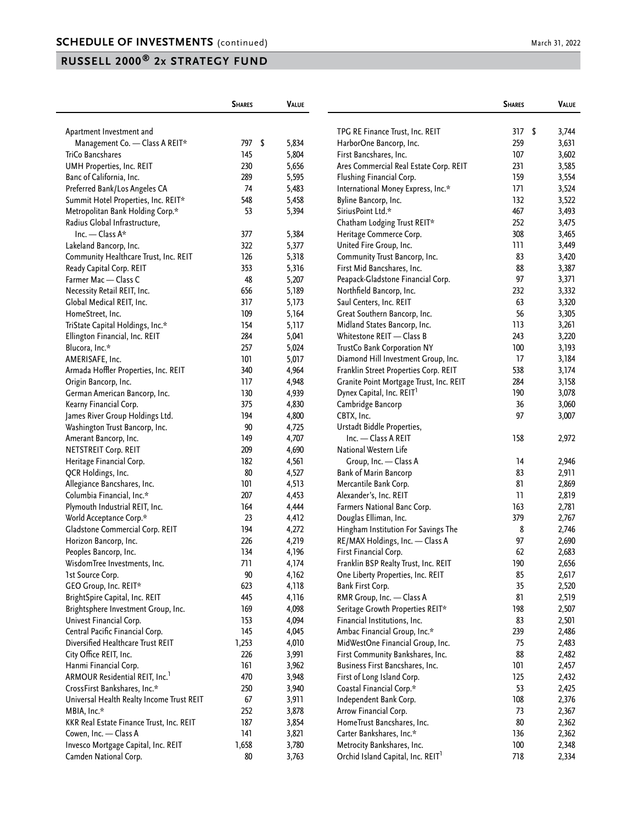|                                                            | <b>SHARES</b> | <b>VALUE</b> |                                                      | <b>SHARES</b> | VALUE          |
|------------------------------------------------------------|---------------|--------------|------------------------------------------------------|---------------|----------------|
| Apartment Investment and                                   |               |              | TPG RE Finance Trust, Inc. REIT                      | 317           | \$<br>3,744    |
| Management Co. - Class A REIT*                             | 797 \$        | 5,834        | HarborOne Bancorp, Inc.                              | 259           | 3,631          |
| TriCo Bancshares                                           | 145           | 5,804        | First Bancshares, Inc.                               | 107           | 3,602          |
| UMH Properties, Inc. REIT                                  | 230           | 5,656        | Ares Commercial Real Estate Corp. REIT               | 231           | 3,585          |
| Banc of California, Inc.                                   | 289           | 5,595        | Flushing Financial Corp.                             | 159           | 3,554          |
| Preferred Bank/Los Angeles CA                              | 74            | 5,483        | International Money Express, Inc.*                   | 171           | 3,524          |
| Summit Hotel Properties, Inc. REIT*                        | 548           | 5,458        | Byline Bancorp, Inc.                                 | 132           | 3,522          |
| Metropolitan Bank Holding Corp.*                           | 53            | 5,394        | SiriusPoint Ltd.*                                    | 467           | 3,493          |
| Radius Global Infrastructure,                              |               |              | Chatham Lodging Trust REIT*                          | 252           | 3,475          |
| Inc. - Class A*                                            | 377           | 5,384        | Heritage Commerce Corp.                              | 308           | 3,465          |
| Lakeland Bancorp, Inc.                                     | 322           | 5,377        | United Fire Group, Inc.                              | 111           | 3,449          |
| Community Healthcare Trust, Inc. REIT                      | 126           | 5,318        | Community Trust Bancorp, Inc.                        | 83            | 3,420          |
| Ready Capital Corp. REIT                                   | 353           | 5,316        | First Mid Bancshares, Inc.                           | 88            | 3,387          |
| Farmer Mac - Class C                                       | 48            | 5,207        | Peapack-Gladstone Financial Corp.                    | 97            | 3,371          |
| Necessity Retail REIT, Inc.                                | 656           | 5,189        | Northfield Bancorp, Inc.                             | 232           | 3,332          |
| Global Medical REIT, Inc.                                  | 317           | 5,173        | Saul Centers, Inc. REIT                              | 63            | 3,320          |
| HomeStreet, Inc.                                           | 109           | 5,164        | Great Southern Bancorp, Inc.                         | 56            | 3,305          |
| TriState Capital Holdings, Inc.*                           | 154           | 5,117        | Midland States Bancorp, Inc.                         | 113           | 3,261          |
| Ellington Financial, Inc. REIT                             | 284           | 5,041        | Whitestone REIT - Class B                            | 243           | 3,220          |
| Blucora, Inc.*                                             | 257           | 5,024        | TrustCo Bank Corporation NY                          | 100           | 3,193          |
| AMERISAFE, Inc.                                            | 101           | 5,017        | Diamond Hill Investment Group, Inc.                  | 17            | 3,184          |
| Armada Hoffler Properties, Inc. REIT                       | 340           | 4,964        | Franklin Street Properties Corp. REIT                | 538           | 3,174          |
| Origin Bancorp, Inc.                                       | 117           | 4,948        | Granite Point Mortgage Trust, Inc. REIT              | 284           | 3,158          |
| German American Bancorp, Inc.                              | 130           | 4,939        | Dynex Capital, Inc. REIT <sup>1</sup>                | 190           | 3,078          |
|                                                            | 375           | 4,830        | Cambridge Bancorp                                    | 36            | 3,060          |
| Kearny Financial Corp.                                     | 194           | 4,800        | CBTX, Inc.                                           | 97            | 3,007          |
| James River Group Holdings Ltd.                            | 90            | 4,725        | Urstadt Biddle Properties,                           |               |                |
| Washington Trust Bancorp, Inc.                             | 149           | 4,707        | Inc. - Class A REIT                                  | 158           |                |
| Amerant Bancorp, Inc.                                      | 209           |              | National Western Life                                |               | 2,972          |
| NETSTREIT Corp. REIT                                       | 182           | 4,690        |                                                      | 14            |                |
| Heritage Financial Corp.                                   | 80            | 4,561        | Group, Inc. - Class A                                | 83            | 2,946          |
| QCR Holdings, Inc.                                         | 101           | 4,527        | <b>Bank of Marin Bancorp</b>                         | 81            | 2,911          |
| Allegiance Bancshares, Inc.                                | 207           | 4,513        | Mercantile Bank Corp.                                | 11            | 2,869          |
| Columbia Financial, Inc.*                                  | 164           | 4,453        | Alexander's, Inc. REIT                               | 163           | 2,819          |
| Plymouth Industrial REIT, Inc.                             | 23            | 4,444        | Farmers National Banc Corp.<br>Douglas Elliman, Inc. | 379           | 2,781          |
| World Acceptance Corp.*<br>Gladstone Commercial Corp. REIT | 194           | 4,412        |                                                      | 8             | 2,767<br>2,746 |
|                                                            | 226           | 4,272        | Hingham Institution For Savings The                  | 97            |                |
| Horizon Bancorp, Inc.                                      | 134           | 4,219        | RE/MAX Holdings, Inc. - Class A                      | 62            | 2,690<br>2,683 |
| Peoples Bancorp, Inc.                                      |               | 4,196        | First Financial Corp.                                |               |                |
| WisdomTree Investments, Inc.                               | 711           | 4,174        | Franklin BSP Realty Trust, Inc. REIT                 | 190           | 2,656          |
| 1st Source Corp.                                           | 90            | 4,162        | One Liberty Properties, Inc. REIT                    | 85            | 2,617          |
| GEO Group, Inc. REIT*                                      | 623           | 4,118        | Bank First Corp.                                     | 35            | 2,520          |
| BrightSpire Capital, Inc. REIT                             | 445           | 4,116        | RMR Group, Inc. - Class A                            | 81            | 2,519          |
| Brightsphere Investment Group, Inc.                        | 169           | 4,098        | Seritage Growth Properties REIT*                     | 198           | 2,507          |
| Univest Financial Corp.                                    | 153           | 4,094        | Financial Institutions, Inc.                         | 83            | 2,501          |
| Central Pacific Financial Corp.                            | 145           | 4,045        | Ambac Financial Group, Inc.*                         | 239           | 2,486          |
| Diversified Healthcare Trust REIT                          | 1,253         | 4,010        | MidWestOne Financial Group, Inc.                     | 75            | 2,483          |
| City Office REIT, Inc.                                     | 226           | 3,991        | First Community Bankshares, Inc.                     | 88            | 2,482          |
| Hanmi Financial Corp.                                      | 161           | 3,962        | Business First Bancshares, Inc.                      | 101           | 2,457          |
| ARMOUR Residential REIT, Inc. <sup>1</sup>                 | 470           | 3,948        | First of Long Island Corp.                           | 125           | 2,432          |
| CrossFirst Bankshares, Inc.*                               | 250           | 3,940        | Coastal Financial Corp.*                             | 53            | 2,425          |
| Universal Health Realty Income Trust REIT                  | 67            | 3,911        | Independent Bank Corp.                               | 108           | 2,376          |
| MBIA, Inc.*                                                | 252           | 3,878        | Arrow Financial Corp.                                | 73            | 2,367          |
| KKR Real Estate Finance Trust, Inc. REIT                   | 187           | 3,854        | HomeTrust Bancshares, Inc.                           | 80            | 2,362          |
| Cowen, Inc. - Class A                                      | 141           | 3,821        | Carter Bankshares, Inc.*                             | 136           | 2,362          |
| Invesco Mortgage Capital, Inc. REIT                        | 1,658         | 3,780        | Metrocity Bankshares, Inc.                           | 100           | 2,348          |
| Camden National Corp.                                      | 80            | 3,763        | Orchid Island Capital, Inc. REIT <sup>1</sup>        | 718           | 2,334          |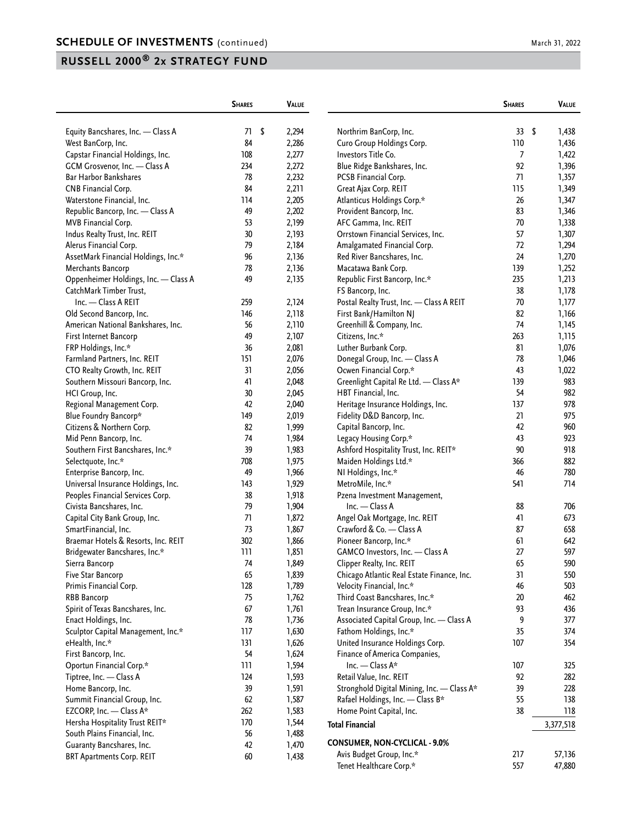|                                      | <b>SHARES</b> | <b>VALUE</b> |                                                                         | <b>SHARES</b> | VALUE       |
|--------------------------------------|---------------|--------------|-------------------------------------------------------------------------|---------------|-------------|
| Equity Bancshares, Inc. - Class A    | 71<br>\$      | 2,294        | Northrim BanCorp, Inc.                                                  | 33            | \$<br>1,438 |
| West BanCorp, Inc.                   | 84            | 2,286        | Curo Group Holdings Corp.                                               | 110           | 1,436       |
| Capstar Financial Holdings, Inc.     | 108           | 2,277        | Investors Title Co.                                                     | 7             | 1,422       |
| GCM Grosvenor, Inc. - Class A        | 234           | 2,272        | Blue Ridge Bankshares, Inc.                                             | 92            | 1,396       |
| <b>Bar Harbor Bankshares</b>         | 78            | 2,232        | PCSB Financial Corp.                                                    | 71            | 1,357       |
| <b>CNB Financial Corp.</b>           | 84            | 2,211        | Great Ajax Corp. REIT                                                   | 115           | 1,349       |
| Waterstone Financial, Inc.           | 114           | 2,205        | Atlanticus Holdings Corp.*                                              | 26            | 1,347       |
| Republic Bancorp, Inc. - Class A     | 49            | 2,202        | Provident Bancorp, Inc.                                                 | 83            | 1,346       |
| MVB Financial Corp.                  | 53            | 2,199        | AFC Gamma, Inc. REIT                                                    | 70            | 1,338       |
| Indus Realty Trust, Inc. REIT        | 30            | 2,193        | Orrstown Financial Services, Inc.                                       | 57            | 1,307       |
| Alerus Financial Corp.               | 79            | 2,184        | Amalgamated Financial Corp.                                             | 72            | 1,294       |
| AssetMark Financial Holdings, Inc.*  | 96            | 2,136        | Red River Bancshares, Inc.                                              | 24            | 1,270       |
| Merchants Bancorp                    | 78            | 2,136        | Macatawa Bank Corp.                                                     | 139           | 1,252       |
| Oppenheimer Holdings, Inc. - Class A | 49            | 2,135        | Republic First Bancorp, Inc.*                                           | 235           | 1,213       |
| CatchMark Timber Trust,              |               |              | FS Bancorp, Inc.                                                        | 38            | 1,178       |
| Inc. - Class A REIT                  | 259           | 2,124        | Postal Realty Trust, Inc. - Class A REIT                                | 70            | 1,177       |
| Old Second Bancorp, Inc.             | 146           | 2,118        | First Bank/Hamilton NJ                                                  | 82            | 1,166       |
| American National Bankshares, Inc.   | 56            | 2,110        | Greenhill & Company, Inc.                                               | 74            | 1,145       |
| First Internet Bancorp               | 49            | 2,107        | Citizens, Inc.*                                                         | 263           | 1,115       |
| FRP Holdings, Inc.*                  | 36            | 2,081        | Luther Burbank Corp.                                                    | 81            | 1,076       |
| Farmland Partners, Inc. REIT         | 151           | 2,076        | Donegal Group, Inc. - Class A                                           | 78            | 1,046       |
| CTO Realty Growth, Inc. REIT         | 31            | 2,056        | Ocwen Financial Corp.*                                                  | 43            | 1,022       |
| Southern Missouri Bancorp, Inc.      | 41            | 2,048        | Greenlight Capital Re Ltd. - Class A*                                   | 139           | 983         |
| HCI Group, Inc.                      | 30            | 2,045        | HBT Financial, Inc.                                                     | 54            | 982         |
| Regional Management Corp.            | 42            | 2,040        | Heritage Insurance Holdings, Inc.                                       | 137           | 978         |
| Blue Foundry Bancorp*                | 149           | 2,019        | Fidelity D&D Bancorp, Inc.                                              | 21            | 975         |
| Citizens & Northern Corp.            | 82            | 1,999        | Capital Bancorp, Inc.                                                   | 42            | 960         |
| Mid Penn Bancorp, Inc.               | 74            | 1,984        | Legacy Housing Corp.*                                                   | 43            | 923         |
| Southern First Bancshares, Inc.*     | 39            | 1,983        | Ashford Hospitality Trust, Inc. REIT*                                   | 90            | 918         |
| Selectquote, Inc.*                   | 708           | 1,975        | Maiden Holdings Ltd.*                                                   | 366           | 882         |
| Enterprise Bancorp, Inc.             | 49            | 1,966        | NI Holdings, Inc.*                                                      | 46            | 780         |
| Universal Insurance Holdings, Inc.   | 143           | 1,929        | MetroMile, Inc.*                                                        | 541           | 714         |
| Peoples Financial Services Corp.     | 38            | 1,918        | Pzena Investment Management,                                            |               |             |
| Civista Bancshares, Inc.             | 79            | 1,904        | Inc. - Class A                                                          | 88            | 706         |
| Capital City Bank Group, Inc.        | 71            | 1,872        | Angel Oak Mortgage, Inc. REIT                                           | 41            | 673         |
| SmartFinancial, Inc.                 | 73            | 1,867        | Crawford & Co. - Class A                                                | 87            | 658         |
| Braemar Hotels & Resorts, Inc. REIT  | 302           | 1,866        | Pioneer Bancorp, Inc.*                                                  | 61            | 642         |
|                                      | 111           |              | GAMCO Investors, Inc. - Class A                                         | 27            | 597         |
| Bridgewater Bancshares, Inc.*        |               | 1,851        |                                                                         |               |             |
| Sierra Bancorp                       | 74            | 1,849        | Clipper Realty, Inc. REIT<br>Chicago Atlantic Real Estate Finance, Inc. | 65            | 590         |
| Five Star Bancorp                    | 65            | 1,839        | Velocity Financial, Inc.*                                               | 31            | 550         |
| Primis Financial Corp.               | 128           | 1,789        |                                                                         | 46            | 503         |
| RBB Bancorp                          | 75            | 1,762        | Third Coast Bancshares, Inc.*                                           | 20            | 462         |
| Spirit of Texas Bancshares, Inc.     | 67            | 1,761        | Trean Insurance Group, Inc.*                                            | 93            | 436         |
| Enact Holdings, Inc.                 | 78            | 1,736        | Associated Capital Group, Inc. - Class A                                | 9             | 377         |
| Sculptor Capital Management, Inc.*   | 117           | 1,630        | Fathom Holdings, Inc.*                                                  | 35            | 374         |
| eHealth, Inc.*                       | 131           | 1,626        | United Insurance Holdings Corp.                                         | 107           | 354         |
| First Bancorp, Inc.                  | 54            | 1,624        | Finance of America Companies,                                           |               |             |
| Oportun Financial Corp.*             | 111           | 1,594        | Inc. - Class A*                                                         | 107           | 325         |
| Tiptree, Inc. - Class A              | 124           | 1,593        | Retail Value, Inc. REIT                                                 | 92            | 282         |
| Home Bancorp, Inc.                   | 39            | 1,591        | Stronghold Digital Mining, Inc. - Class A*                              | 39            | 228         |
| Summit Financial Group, Inc.         | 62            | 1,587        | Rafael Holdings, Inc. - Class B*                                        | 55            | 138         |
| EZCORP, Inc. - Class A*              | 262           | 1,583        | Home Point Capital, Inc.                                                | 38            | 118         |
| Hersha Hospitality Trust REIT*       | 170           | 1,544        | <b>Total Financial</b>                                                  |               | 3,377,518   |
| South Plains Financial, Inc.         | 56            | 1,488        |                                                                         |               |             |
| Guaranty Bancshares, Inc.            | 42            | 1,470        | <b>CONSUMER, NON-CYCLICAL - 9.0%</b><br>Avis Budget Group, Inc.*        | 217           | 57,136      |
| <b>BRT Apartments Corp. REIT</b>     | 60            | 1,438        | Tenet Healthcare Corp.*                                                 | 557           | 47,880      |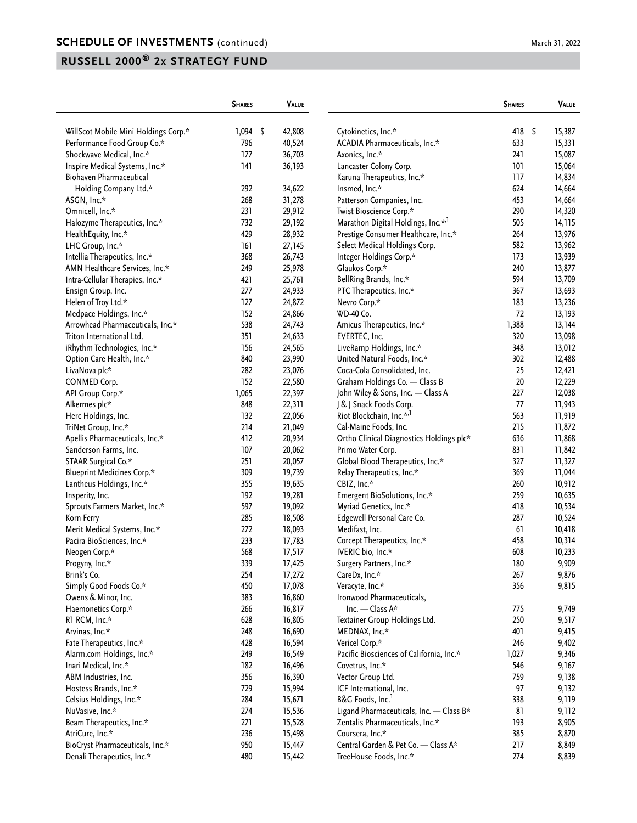|                                                       | <b>SHARES</b> | VALUE            |                                                            | <b>SHARES</b> | VALUE          |
|-------------------------------------------------------|---------------|------------------|------------------------------------------------------------|---------------|----------------|
| WillScot Mobile Mini Holdings Corp.*                  | $1,094$ \$    | 42,808           | Cytokinetics, Inc.*                                        | 418           | \$<br>15,387   |
| Performance Food Group Co.*                           | 796           | 40,524           | ACADIA Pharmaceuticals, Inc.*                              | 633           | 15,331         |
| Shockwave Medical, Inc.*                              | 177           | 36,703           | Axonics, Inc.*                                             | 241           | 15,087         |
| Inspire Medical Systems, Inc.*                        | 141           | 36,193           | Lancaster Colony Corp.                                     | 101           | 15,064         |
| <b>Biohaven Pharmaceutical</b>                        |               |                  | Karuna Therapeutics, Inc.*                                 | 117           | 14,834         |
| Holding Company Ltd.*                                 | 292           | 34,622           | Insmed, Inc.*                                              | 624           | 14,664         |
| ASGN, Inc.*                                           | 268           | 31,278           | Patterson Companies, Inc.                                  | 453           | 14,664         |
| Omnicell, Inc.*                                       | 231           | 29,912           | Twist Bioscience Corp.*                                    | 290           | 14,320         |
| Halozyme Therapeutics, Inc.*                          | 732           | 29,192           | Marathon Digital Holdings, Inc.* <sup>1</sup>              | 505           | 14,115         |
| HealthEquity, Inc.*                                   | 429           | 28,932           | Prestige Consumer Healthcare, Inc.*                        | 264           | 13,976         |
| LHC Group, Inc.*                                      | 161           | 27,145           | Select Medical Holdings Corp.                              | 582           | 13,962         |
| Intellia Therapeutics, Inc.*                          | 368           | 26,743           | Integer Holdings Corp.*                                    | 173           | 13,939         |
| AMN Healthcare Services, Inc.*                        | 249           | 25,978           | Glaukos Corp.*                                             | 240           | 13,877         |
| Intra-Cellular Therapies, Inc.*                       | 421           | 25,761           | BellRing Brands, Inc.*                                     | 594           | 13,709         |
| Ensign Group, Inc.                                    | 277           | 24,933           | PTC Therapeutics, Inc.*                                    | 367           | 13,693         |
| Helen of Troy Ltd.*                                   | 127           | 24,872           | Nevro Corp.*                                               | 183           | 13,236         |
| Medpace Holdings, Inc.*                               | 152           | 24,866           | WD-40 Co.                                                  | 72            | 13,193         |
| Arrowhead Pharmaceuticals, Inc.*                      | 538           | 24,743           | Amicus Therapeutics, Inc.*                                 | 1,388         | 13,144         |
| Triton International Ltd.                             | 351           | 24,633           | EVERTEC, Inc.                                              | 320           | 13,098         |
| iRhythm Technologies, Inc.*                           | 156           | 24,565           | LiveRamp Holdings, Inc.*                                   | 348           | 13,012         |
| Option Care Health, Inc.*                             | 840           | 23,990           | United Natural Foods, Inc.*                                | 302           | 12,488         |
| LivaNova plc*                                         | 282           | 23,076           | Coca-Cola Consolidated, Inc.                               | 25            | 12,421         |
| <b>CONMED Corp.</b>                                   | 152           | 22,580           | Graham Holdings Co. - Class B                              | $20\,$        | 12,229         |
| API Group Corp.*                                      | 1,065         | 22,397           | John Wiley & Sons, Inc. - Class A                          | 227           | 12,038         |
| Alkermes plc*                                         | 848           | 22,311           | J & J Snack Foods Corp.                                    | 77            | 11,943         |
| Herc Holdings, Inc.                                   | 132           | 22,056           | Riot Blockchain, Inc.* <sup>,1</sup>                       | 563           | 11,919         |
| TriNet Group, Inc.*                                   | 214           | 21,049           | Cal-Maine Foods, Inc.                                      | 215           | 11,872         |
| Apellis Pharmaceuticals, Inc.*                        | 412           | 20,934           | Ortho Clinical Diagnostics Holdings plc*                   | 636           | 11,868         |
| Sanderson Farms, Inc.                                 | 107           | 20,062           | Primo Water Corp.                                          | 831           | 11,842         |
| STAAR Surgical Co.*                                   | 251           | 20,057           | Global Blood Therapeutics, Inc.*                           | 327           | 11,327         |
| <b>Blueprint Medicines Corp.*</b>                     | 309           | 19,739           | Relay Therapeutics, Inc.*                                  | 369           | 11,044         |
| Lantheus Holdings, Inc.*                              | 355           | 19,635           | CBIZ, Inc.*                                                | 260           | 10,912         |
| Insperity, Inc.                                       | 192           | 19,281           | Emergent BioSolutions, Inc.*                               | 259           | 10,635         |
| Sprouts Farmers Market, Inc.*                         | 597           | 19,092           | Myriad Genetics, Inc.*                                     | 418           | 10,534         |
| Korn Ferry                                            | 285           | 18,508           | Edgewell Personal Care Co.                                 | 287           | 10,524         |
| Merit Medical Systems, Inc.*                          | 272           | 18,093           | Medifast, Inc.                                             | 61            | 10,418         |
| Pacira BioSciences, Inc.*                             | 233           | 17,783           | Corcept Therapeutics, Inc.*                                | 458           | 10,314         |
| Neogen Corp.*                                         | 568           | 17,517           | IVERIC bio, Inc.*                                          | 608           | 10,233         |
| Progyny, Inc.*                                        | 339           | 17,425           | Surgery Partners, Inc.*                                    | 180           | 9,909          |
| Brink's Co.                                           | 254           | 17,272           | CareDx, Inc.*                                              | 267           | 9,876          |
| Simply Good Foods Co.*                                | 450           | 17,078           | Veracyte, Inc.*                                            | 356           | 9,815          |
| Owens & Minor, Inc.                                   | 383           | 16,860           | Ironwood Pharmaceuticals,<br>Inc. - Class A*               |               |                |
| Haemonetics Corp.*                                    | 266           | 16,817           |                                                            | 775<br>250    | 9,749          |
| R1 RCM, Inc.*                                         | 628<br>248    | 16,805           | Textainer Group Holdings Ltd.<br>MEDNAX, Inc.*             | 401           | 9,517<br>9,415 |
| Arvinas, Inc.*                                        |               | 16,690<br>16,594 |                                                            | 246           |                |
| Fate Therapeutics, Inc.*<br>Alarm.com Holdings, Inc.* | 428<br>249    | 16,549           | Vericel Corp.*<br>Pacific Biosciences of California, Inc.* | 1,027         | 9,402<br>9,346 |
| Inari Medical, Inc.*                                  | 182           | 16,496           | Covetrus, Inc.*                                            | 546           | 9,167          |
| ABM Industries, Inc.                                  | 356           | 16,390           | Vector Group Ltd.                                          | 759           | 9,138          |
| Hostess Brands, Inc.*                                 | 729           | 15,994           | ICF International, Inc.                                    | 97            | 9,132          |
| Celsius Holdings, Inc.*                               | 284           | 15,671           | B&G Foods, Inc. <sup>1</sup>                               | 338           | 9,119          |
| NuVasive, Inc.*                                       | 274           | 15,536           | Ligand Pharmaceuticals, Inc. - Class B*                    | 81            | 9,112          |
| Beam Therapeutics, Inc.*                              | 271           | 15,528           | Zentalis Pharmaceuticals, Inc.*                            | 193           | 8,905          |
| AtriCure, Inc.*                                       | 236           | 15,498           | Coursera, Inc.*                                            | 385           | 8,870          |
| BioCryst Pharmaceuticals, Inc.*                       | 950           | 15,447           | Central Garden & Pet Co. - Class A*                        | 217           | 8,849          |
| Denali Therapeutics, Inc.*                            | 480           | 15,442           | TreeHouse Foods, Inc.*                                     | 274           | 8,839          |
|                                                       |               |                  |                                                            |               |                |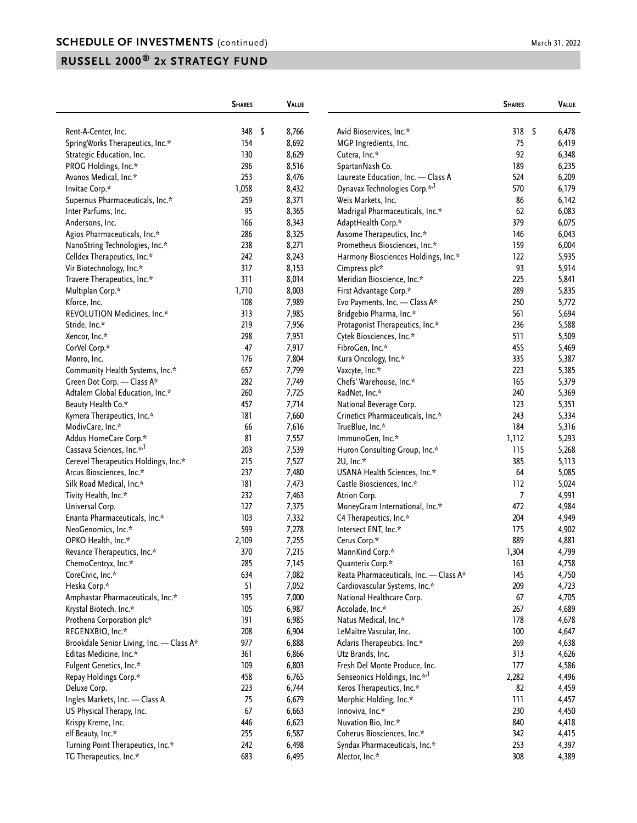|                                          | <b>SHARES</b> |      | VALUE |                                           | <b>SHARES</b> | VALUE       |
|------------------------------------------|---------------|------|-------|-------------------------------------------|---------------|-------------|
| Rent-A-Center, Inc.                      | 348           | - \$ | 8,766 | Avid Bioservices, Inc.*                   | 318           | \$<br>6,478 |
| SpringWorks Therapeutics, Inc.*          | 154           |      | 8,692 | MGP Ingredients, Inc.                     | 75            | 6,419       |
| Strategic Education, Inc.                | 130           |      | 8,629 | Cutera, Inc.*                             | 92            | 6,348       |
| PROG Holdings, Inc.*                     | 296           |      | 8,516 | SpartanNash Co.                           | 189           | 6,235       |
| Avanos Medical, Inc.*                    | 253           |      | 8,476 | Laureate Education, Inc. - Class A        | 524           | 6,209       |
| Invitae Corp.*                           | 1,058         |      | 8,432 | Dynavax Technologies Corp.* <sup>,1</sup> | 570           | 6,179       |
| Supernus Pharmaceuticals, Inc.*          | 259           |      | 8,371 | Weis Markets, Inc.                        | 86            | 6,142       |
| Inter Parfums, Inc.                      | 95            |      | 8,365 | Madrigal Pharmaceuticals, Inc.*           | 62            | 6,083       |
| Andersons, Inc.                          | 166           |      | 8,343 | AdaptHealth Corp.*                        | 379           | 6,075       |
| Agios Pharmaceuticals, Inc.*             | 286           |      | 8,325 | Axsome Therapeutics, Inc.*                | 146           | 6,043       |
| NanoString Technologies, Inc.*           | 238           |      | 8,271 | Prometheus Biosciences, Inc.*             | 159           | 6,004       |
| Celldex Therapeutics, Inc.*              | 242           |      | 8,243 | Harmony Biosciences Holdings, Inc.*       | 122           | 5,935       |
|                                          |               |      |       |                                           | 93            |             |
| Vir Biotechnology, Inc.*                 | 317<br>311    |      | 8,153 | Cimpress plc*                             | 225           | 5,914       |
| Travere Therapeutics, Inc.*              |               |      | 8,014 | Meridian Bioscience, Inc.*                |               | 5,841       |
| Multiplan Corp.*                         | 1,710         |      | 8,003 | First Advantage Corp.*                    | 289           | 5,835       |
| Kforce, Inc.                             | 108           |      | 7,989 | Evo Payments, Inc. - Class A*             | 250           | 5,772       |
| REVOLUTION Medicines, Inc.*              | 313           |      | 7,985 | Bridgebio Pharma, Inc.*                   | 561           | 5,694       |
| Stride, Inc.*                            | 219           |      | 7,956 | Protagonist Therapeutics, Inc.*           | 236           | 5,588       |
| Xencor, Inc.*                            | 298           |      | 7,951 | Cytek Biosciences, Inc.*                  | 511           | 5,509       |
| CorVel Corp.*                            | 47            |      | 7,917 | FibroGen, Inc.*                           | 455           | 5,469       |
| Monro, Inc.                              | 176           |      | 7,804 | Kura Oncology, Inc.*                      | 335           | 5,387       |
| Community Health Systems, Inc.*          | 657           |      | 7,799 | Vaxcyte, Inc.*                            | 223           | 5,385       |
| Green Dot Corp. - Class A*               | 282           |      | 7,749 | Chefs' Warehouse, Inc.*                   | 165           | 5,379       |
| Adtalem Global Education, Inc.*          | 260           |      | 7,725 | RadNet, Inc.*                             | 240           | 5,369       |
| Beauty Health Co.*                       | 457           |      | 7,714 | National Beverage Corp.                   | 123           | 5,351       |
| Kymera Therapeutics, Inc.*               | 181           |      | 7,660 | Crinetics Pharmaceuticals, Inc.*          | 243           | 5,334       |
| ModivCare, Inc.*                         | 66            |      | 7,616 | TrueBlue, Inc.*                           | 184           | 5,316       |
| Addus HomeCare Corp.*                    | 81            |      | 7,557 | ImmunoGen, Inc.*                          | 1,112         | 5,293       |
| Cassava Sciences, Inc.* <sup>,1</sup>    | 203           |      | 7,539 | Huron Consulting Group, Inc.*             | 115           | 5,268       |
| Cerevel Therapeutics Holdings, Inc.*     | 215           |      | 7,527 | 2U, Inc.*                                 | 385           | 5,113       |
| Arcus Biosciences, Inc.*                 | 237           |      | 7,480 | USANA Health Sciences, Inc.*              | 64            | 5,085       |
| Silk Road Medical, Inc.*                 | 181           |      | 7,473 | Castle Biosciences, Inc.*                 | 112           | 5,024       |
| Tivity Health, Inc.*                     | 232           |      | 7,463 | Atrion Corp.                              | 7             | 4,991       |
| Universal Corp.                          | 127           |      | 7,375 | MoneyGram International, Inc.*            | 472           | 4,984       |
| Enanta Pharmaceuticals, Inc.*            | 103           |      | 7,332 | C4 Therapeutics, Inc.*                    | 204           | 4,949       |
| NeoGenomics, Inc.*                       | 599           |      | 7,278 | Intersect ENT, Inc.*                      | 175           | 4,902       |
| OPKO Health, Inc.*                       | 2,109         |      | 7,255 | Cerus Corp.*                              | 889           | 4,881       |
| Revance Therapeutics, Inc.*              | 370           |      | 7,215 | MannKind Corp.*                           | 1,304         | 4,799       |
| ChemoCentryx, Inc.*                      | 285           |      | 7,145 | Quanterix Corp.*                          | 163           | 4,758       |
| CoreCivic, Inc.*                         | 634           |      | 7,082 | Reata Pharmaceuticals, Inc. - Class A*    | 145           | 4,750       |
| Heska Corp.*                             | 51            |      | 7,052 | Cardiovascular Systems, Inc.*             | 209           | 4,723       |
| Amphastar Pharmaceuticals, Inc.*         | 195           |      | 7,000 | National Healthcare Corp.                 | 67            | 4,705       |
| Krystal Biotech, Inc.*                   | 105           |      | 6,987 | Accolade, Inc.*                           | 267           | 4,689       |
| Prothena Corporation plc*                | 191           |      | 6,985 | Natus Medical, Inc.*                      | 178           | 4,678       |
| REGENXBIO, Inc.*                         | 208           |      | 6,904 | LeMaitre Vascular, Inc.                   | 100           | 4,647       |
| Brookdale Senior Living, Inc. - Class A* | 977           |      | 6,888 | Aclaris Therapeutics, Inc.*               | 269           | 4,638       |
| Editas Medicine, Inc.*                   | 361           |      | 6,866 | Utz Brands, Inc.                          | 313           | 4,626       |
| Fulgent Genetics, Inc.*                  | 109           |      | 6,803 | Fresh Del Monte Produce, Inc.             | 177           | 4,586       |
| Repay Holdings Corp.*                    | 458           |      | 6,765 | Senseonics Holdings, Inc.* <sup>1</sup>   | 2,282         | 4,496       |
| Deluxe Corp.                             | 223           |      | 6,744 | Keros Therapeutics, Inc.*                 | 82            | 4,459       |
| Ingles Markets, Inc. - Class A           | 75            |      | 6,679 | Morphic Holding, Inc.*                    | 111           | 4,457       |
| US Physical Therapy, Inc.                | 67            |      | 6,663 | Innoviva, Inc.*                           | 230           | 4,450       |
| Krispy Kreme, Inc.                       | 446           |      | 6,623 | Nuvation Bio, Inc.*                       | 840           | 4,418       |
|                                          |               |      |       |                                           |               |             |
| elf Beauty, Inc.*                        | 255           |      | 6,587 | Coherus Biosciences, Inc.*                | 342           | 4,415       |
| Turning Point Therapeutics, Inc.*        | 242           |      | 6,498 | Syndax Pharmaceuticals, Inc.*             | 253<br>308    | 4,397       |
| TG Therapeutics, Inc.*                   | 683           |      | 6,495 | Alector, Inc.*                            |               | 4,389       |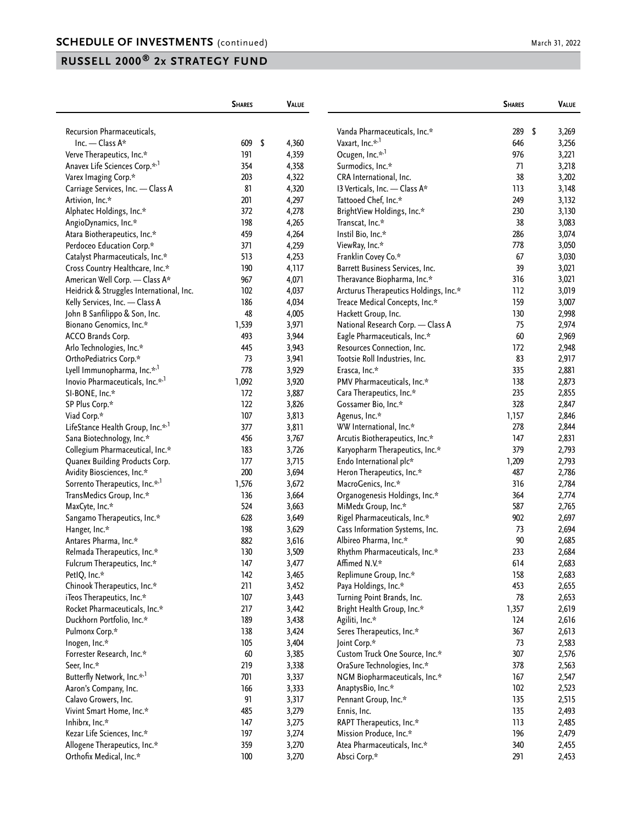|                                              | <b>SHARES</b> |            | VALUE |                                       | <b>SHARES</b> | VALUE          |
|----------------------------------------------|---------------|------------|-------|---------------------------------------|---------------|----------------|
| Recursion Pharmaceuticals,                   |               |            |       | Vanda Pharmaceuticals, Inc.*          | 289           | \$             |
| Inc. - Class $A^*$                           | 609           | $\sqrt{2}$ | 4,360 | Vaxart, Inc.* <sup>,1</sup>           | 646           | 3,269<br>3,256 |
|                                              | 191           |            |       | Ocugen, Inc.* <sup>,1</sup>           | 976           |                |
| Verve Therapeutics, Inc.*                    |               |            | 4,359 |                                       |               | 3,221          |
| Anavex Life Sciences Corp.* <sup>1</sup>     | 354           |            | 4,358 | Surmodics, Inc.*                      | 71            | 3,218          |
| Varex Imaging Corp.*                         | 203           |            | 4,322 | CRA International, Inc.               | 38            | 3,202          |
| Carriage Services, Inc. - Class A            | 81            |            | 4,320 | 13 Verticals, Inc. - Class A*         | 113           | 3,148          |
| Artivion, Inc.*                              | 201           |            | 4,297 | Tattooed Chef, Inc.*                  | 249           | 3,132          |
| Alphatec Holdings, Inc.*                     | 372           |            | 4,278 | BrightView Holdings, Inc.*            | 230           | 3,130          |
| AngioDynamics, Inc.*                         | 198           |            | 4,265 | Transcat, Inc.*                       | 38            | 3,083          |
| Atara Biotherapeutics, Inc.*                 | 459           |            | 4,264 | Instil Bio, Inc.*                     | 286           | 3,074          |
| Perdoceo Education Corp.*                    | 371           |            | 4,259 | ViewRay, Inc.*                        | 778           | 3,050          |
| Catalyst Pharmaceuticals, Inc.*              | 513           |            | 4,253 | Franklin Covey Co.*                   | 67            | 3,030          |
| Cross Country Healthcare, Inc.*              | 190           |            | 4,117 | Barrett Business Services, Inc.       | 39            | 3,021          |
| American Well Corp. - Class A*               | 967           |            | 4,071 | Theravance Biopharma, Inc.*           | 316           | 3,021          |
| Heidrick & Struggles International, Inc.     | 102           |            | 4,037 | Arcturus Therapeutics Holdings, Inc.* | 112           | 3,019          |
| Kelly Services, Inc. - Class A               | 186           |            | 4,034 | Treace Medical Concepts, Inc.*        | 159           | 3,007          |
| John B Sanfilippo & Son, Inc.                | 48            |            | 4,005 | Hackett Group, Inc.                   | 130           | 2,998          |
| Bionano Genomics, Inc.*                      | 1,539         |            | 3,971 | National Research Corp. - Class A     | 75            | 2,974          |
| ACCO Brands Corp.                            | 493           |            | 3,944 | Eagle Pharmaceuticals, Inc.*          | 60            | 2,969          |
| Arlo Technologies, Inc.*                     | 445           |            | 3,943 | Resources Connection, Inc.            | 172           | 2,948          |
| OrthoPediatrics Corp.*                       | 73            |            | 3,941 | Tootsie Roll Industries, Inc.         | 83            | 2,917          |
| Lyell Immunopharma, Inc.*,1                  | 778           |            | 3,929 | Erasca, Inc.*                         | 335           | 2,881          |
| Inovio Pharmaceuticals, Inc.* <sup>1</sup>   | 1,092         |            | 3,920 | PMV Pharmaceuticals, Inc.*            | 138           | 2,873          |
| SI-BONE, Inc.*                               | 172           |            | 3,887 | Cara Therapeutics, Inc.*              | 235           | 2,855          |
| SP Plus Corp.*                               | 122           |            | 3,826 | Gossamer Bio, Inc.*                   | 328           | 2,847          |
| Viad Corp.*                                  | 107           |            | 3,813 | Agenus, Inc.*                         | 1,157         | 2,846          |
| LifeStance Health Group, Inc.* <sup>,1</sup> | 377           |            | 3,811 | WW International, Inc.*               | 278           | 2,844          |
| Sana Biotechnology, Inc.*                    | 456           |            | 3,767 | Arcutis Biotherapeutics, Inc.*        | 147           | 2,831          |
| Collegium Pharmaceutical, Inc.*              | 183           |            | 3,726 | Karyopharm Therapeutics, Inc.*        | 379           | 2,793          |
| Quanex Building Products Corp.               | 177           |            | 3,715 | Endo International plc*               | 1,209         | 2,793          |
| Avidity Biosciences, Inc.*                   | 200           |            | 3,694 | Heron Therapeutics, Inc.*             | 487           | 2,786          |
| Sorrento Therapeutics, Inc.* <sup>1</sup>    | 1,576         |            | 3,672 | MacroGenics, Inc.*                    | 316           | 2,784          |
| TransMedics Group, Inc.*                     | 136           |            | 3,664 | Organogenesis Holdings, Inc.*         | 364           | 2,774          |
| MaxCyte, Inc.*                               | 524           |            | 3,663 | MiMedx Group, Inc.*                   | 587           | 2,765          |
| Sangamo Therapeutics, Inc.*                  | 628           |            | 3,649 | Rigel Pharmaceuticals, Inc.*          | 902           | 2,697          |
| Hanger, Inc.*                                | 198           |            | 3,629 | Cass Information Systems, Inc.        | 73            | 2,694          |
| Antares Pharma, Inc.*                        | 882           |            | 3,616 | Albireo Pharma, Inc.*                 | 90            | 2,685          |
| Relmada Therapeutics, Inc.*                  | 130           |            | 3,509 | Rhythm Pharmaceuticals, Inc.*         | 233           | 2,684          |
| Fulcrum Therapeutics, Inc.*                  | 147           |            | 3,477 | Affimed N.V.*                         | 614           | 2,683          |
| PetIQ, Inc.*                                 | 142           |            | 3,465 | Replimune Group, Inc.*                | 158           | 2,683          |
| Chinook Therapeutics, Inc.*                  | 211           |            | 3,452 | Paya Holdings, Inc.*                  | 453           | 2,655          |
| iTeos Therapeutics, Inc.*                    | 107           |            | 3,443 | Turning Point Brands, Inc.            | 78            | 2,653          |
| Rocket Pharmaceuticals, Inc.*                | 217           |            | 3,442 | Bright Health Group, Inc.*            | 1,357         | 2,619          |
| Duckhorn Portfolio, Inc.*                    | 189           |            | 3,438 | Agiliti, Inc.*                        | 124           | 2,616          |
| Pulmonx Corp.*                               | 138           |            | 3,424 | Seres Therapeutics, Inc.*             | 367           | 2,613          |
| Inogen, Inc.*                                | 105           |            | 3,404 | Joint Corp.*                          | 73            | 2,583          |
| Forrester Research, Inc.*                    | $60\,$        |            | 3,385 | Custom Truck One Source, Inc.*        | 307           | 2,576          |
| Seer, Inc.*                                  | 219           |            | 3,338 | OraSure Technologies, Inc.*           | 378           | 2,563          |
| Butterfly Network, Inc.* <sup>,1</sup>       | 701           |            | 3,337 | NGM Biopharmaceuticals, Inc.*         | 167           | 2,547          |
| Aaron's Company, Inc.                        | 166           |            | 3,333 |                                       | 102           |                |
|                                              |               |            |       | AnaptysBio, Inc.*                     |               | 2,523          |
| Calavo Growers, Inc.                         | 91            |            | 3,317 | Pennant Group, Inc.*                  | 135           | 2,515          |
| Vivint Smart Home, Inc.*                     | 485           |            | 3,279 | Ennis, Inc.                           | 135           | 2,493          |
| Inhibrx, Inc.*                               | 147           |            | 3,275 | RAPT Therapeutics, Inc.*              | 113           | 2,485          |
| Kezar Life Sciences, Inc.*                   | 197           |            | 3,274 | Mission Produce, Inc.*                | 196           | 2,479          |
| Allogene Therapeutics, Inc.*                 | 359           |            | 3,270 | Atea Pharmaceuticals, Inc.*           | 340           | 2,455          |
| Orthofix Medical, Inc.*                      | 100           |            | 3,270 | Absci Corp.*                          | 291           | 2,453          |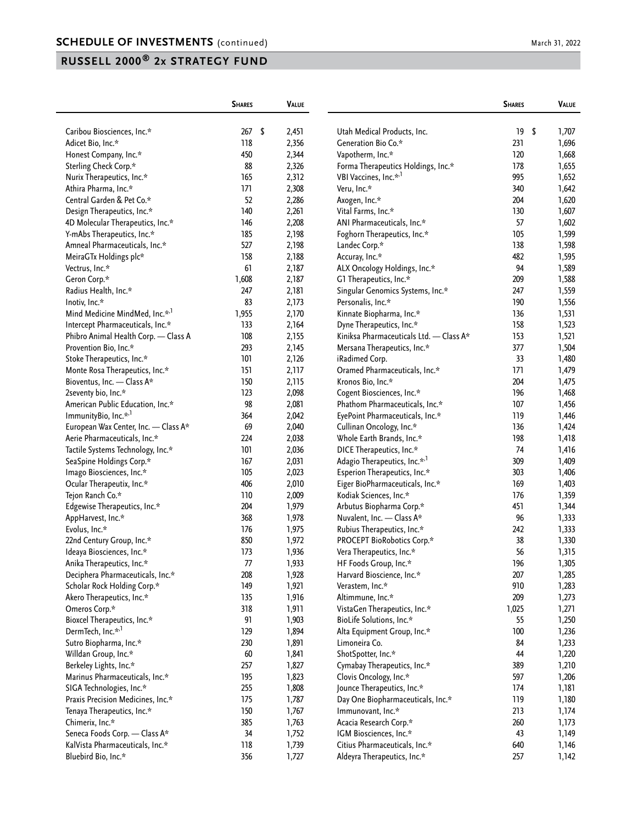|                                            | <b>SHARES</b> | <b>VALUE</b> |                                         | <b>SHARES</b> | VALUE       |
|--------------------------------------------|---------------|--------------|-----------------------------------------|---------------|-------------|
| Caribou Biosciences, Inc.*                 | 267<br>-\$    | 2,451        | Utah Medical Products, Inc.             | 19            | \$<br>1,707 |
| Adicet Bio, Inc.*                          | 118           | 2,356        | Generation Bio Co.*                     | 231           | 1,696       |
| Honest Company, Inc.*                      | 450           | 2,344        | Vapotherm, Inc.*                        | 120           | 1,668       |
| Sterling Check Corp.*                      | 88            | 2,326        | Forma Therapeutics Holdings, Inc.*      | 178           | 1,655       |
| Nurix Therapeutics, Inc.*                  | 165           | 2,312        | VBI Vaccines, Inc.* <sup>1</sup>        | 995           | 1,652       |
| Athira Pharma, Inc.*                       | 171           | 2,308        | Veru, Inc.*                             | 340           | 1,642       |
| Central Garden & Pet Co.*                  | 52            | 2,286        |                                         | 204           | 1,620       |
|                                            | 140           |              | Axogen, Inc.*                           | 130           |             |
| Design Therapeutics, Inc.*                 |               | 2,261        | Vital Farms, Inc.*                      | 57            | 1,607       |
| 4D Molecular Therapeutics, Inc.*           | 146           | 2,208        | ANI Pharmaceuticals, Inc.*              |               | 1,602       |
| Y-mAbs Therapeutics, Inc.*                 | 185           | 2,198        | Foghorn Therapeutics, Inc.*             | 105           | 1,599       |
| Amneal Pharmaceuticals, Inc.*              | 527           | 2,198        | Landec Corp.*                           | 138           | 1,598       |
| MeiraGTx Holdings plc*                     | 158           | 2,188        | Accuray, Inc.*                          | 482           | 1,595       |
| Vectrus, Inc.*                             | 61            | 2,187        | ALX Oncology Holdings, Inc.*            | 94            | 1,589       |
| Geron Corp.*                               | 1,608         | 2,187        | G1 Therapeutics, Inc.*                  | 209           | 1,588       |
| Radius Health, Inc.*                       | 247           | 2,181        | Singular Genomics Systems, Inc.*        | 247           | 1,559       |
| Inotiv, Inc.*                              | 83            | 2,173        | Personalis, Inc.*                       | 190           | 1,556       |
| Mind Medicine MindMed, Inc.* <sup>,1</sup> | 1,955         | 2,170        | Kinnate Biopharma, Inc.*                | 136           | 1,531       |
| Intercept Pharmaceuticals, Inc.*           | 133           | 2,164        | Dyne Therapeutics, Inc.*                | 158           | 1,523       |
| Phibro Animal Health Corp. - Class A       | 108           | 2,155        | Kiniksa Pharmaceuticals Ltd. - Class A* | 153           | 1,521       |
| Provention Bio, Inc.*                      | 293           | 2,145        | Mersana Therapeutics, Inc.*             | 377           | 1,504       |
| Stoke Therapeutics, Inc.*                  | 101           | 2,126        | iRadimed Corp.                          | 33            | 1,480       |
| Monte Rosa Therapeutics, Inc.*             | 151           | 2,117        | Oramed Pharmaceuticals, Inc.*           | 171           | 1,479       |
| Bioventus, Inc. - Class A*                 | 150           | 2,115        | Kronos Bio, Inc.*                       | 204           | 1,475       |
| 2seventy bio, Inc.*                        | 123           | 2,098        | Cogent Biosciences, Inc.*               | 196           | 1,468       |
| American Public Education, Inc.*           | 98            | 2,081        | Phathom Pharmaceuticals, Inc.*          | 107           | 1,456       |
| ImmunityBio, Inc.* <sup>1</sup>            | 364           | 2,042        | EyePoint Pharmaceuticals, Inc.*         | 119           | 1,446       |
| European Wax Center, Inc. - Class A*       | 69            | 2,040        | Cullinan Oncology, Inc.*                | 136           | 1,424       |
| Aerie Pharmaceuticals, Inc.*               | 224           | 2,038        | Whole Earth Brands, Inc.*               | 198           | 1,418       |
| Tactile Systems Technology, Inc.*          | 101           | 2,036        | DICE Therapeutics, Inc.*                | 74            | 1,416       |
| SeaSpine Holdings Corp.*                   | 167           | 2,031        | Adagio Therapeutics, Inc.* <sup>1</sup> | 309           | 1,409       |
| Imago Biosciences, Inc.*                   | 105           | 2,023        | Esperion Therapeutics, Inc.*            | 303           | 1,406       |
| Ocular Therapeutix, Inc.*                  | 406           | 2,010        | Eiger BioPharmaceuticals, Inc.*         | 169           | 1,403       |
| Tejon Ranch Co.*                           | 110           | 2,009        | Kodiak Sciences, Inc.*                  | 176           | 1,359       |
| Edgewise Therapeutics, Inc.*               | 204           | 1,979        | Arbutus Biopharma Corp.*                | 451           | 1,344       |
| AppHarvest, Inc.*                          | 368           | 1,978        | Nuvalent, Inc. - Class A*               | 96            | 1,333       |
| Evolus, Inc.*                              | 176           | 1,975        | Rubius Therapeutics, Inc.*              | 242           | 1,333       |
| 22nd Century Group, Inc.*                  | 850           | 1,972        | PROCEPT BioRobotics Corp.*              | 38            | 1,330       |
| Ideaya Biosciences, Inc.*                  | 173           | 1,936        | Vera Therapeutics, Inc.*                | 56            | 1,315       |
| Anika Therapeutics, Inc.*                  | 77            | 1,933        | HF Foods Group, Inc.*                   | 196           | 1,305       |
| Deciphera Pharmaceuticals, Inc.*           | 208           | 1,928        | Harvard Bioscience, Inc.*               | 207           | 1,285       |
| Scholar Rock Holding Corp.*                | 149           | 1,921        | Verastem, Inc.*                         | 910           | 1,283       |
| Akero Therapeutics, Inc.*                  | 135           | 1,916        | Altimmune, Inc.*                        | 209           | 1,273       |
| Omeros Corp.*                              | 318           | 1,911        | VistaGen Therapeutics, Inc.*            | 1,025         | 1,271       |
| Bioxcel Therapeutics, Inc.*                | 91            | 1,903        | BioLife Solutions, Inc.*                | 55            | 1,250       |
| DermTech, Inc.*,1                          | 129           | 1,894        | Alta Equipment Group, Inc.*             | 100           | 1,236       |
| Sutro Biopharma, Inc.*                     | 230           | 1,891        | Limoneira Co.                           | 84            | 1,233       |
| Willdan Group, Inc.*                       | 60            | 1,841        | ShotSpotter, Inc.*                      | 44            | 1,220       |
| Berkeley Lights, Inc.*                     | 257           | 1,827        | Cymabay Therapeutics, Inc.*             | 389           | 1,210       |
| Marinus Pharmaceuticals, Inc.*             | 195           | 1,823        | Clovis Oncology, Inc.*                  | 597           | 1,206       |
|                                            | 255           |              |                                         |               |             |
| SIGA Technologies, Inc.*                   |               | 1,808        | Jounce Therapeutics, Inc.*              | 174           | 1,181       |
| Praxis Precision Medicines, Inc.*          | 175           | 1,787        | Day One Biopharmaceuticals, Inc.*       | 119           | 1,180       |
| Tenaya Therapeutics, Inc.*                 | 150           | 1,767        | Immunovant, Inc.*                       | 213           | 1,174       |
| Chimerix, Inc.*                            | 385           | 1,763        | Acacia Research Corp.*                  | 260           | 1,173       |
| Seneca Foods Corp. - Class A*              | 34            | 1,752        | IGM Biosciences, Inc.*                  | 43            | 1,149       |
| KalVista Pharmaceuticals, Inc.*            | 118           | 1,739        | Citius Pharmaceuticals, Inc.*           | 640           | 1,146       |
| Bluebird Bio, Inc.*                        | 356           | 1,727        | Aldeyra Therapeutics, Inc.*             | 257           | 1,142       |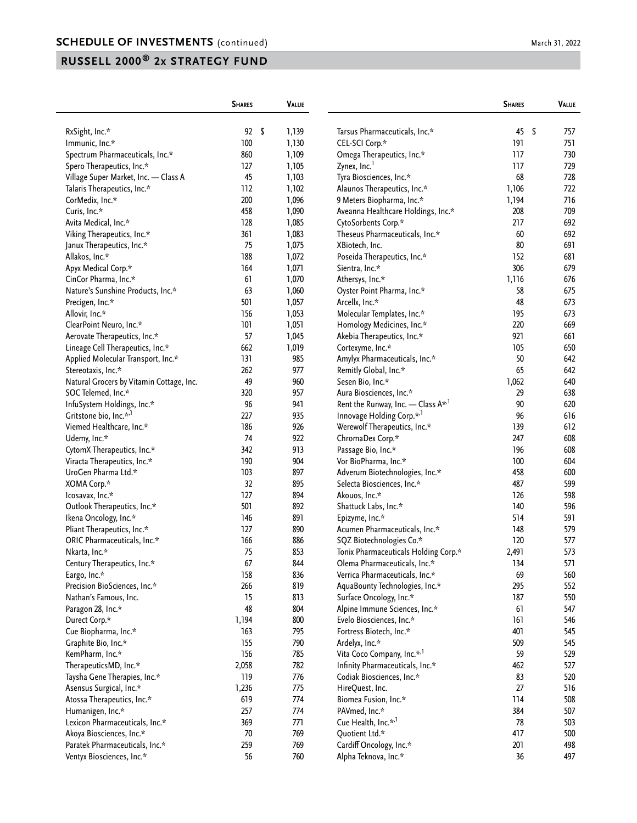|                                          | <b>SHARES</b> | VALUE |                                                       | <b>SHARES</b> | <b>VALUE</b> |
|------------------------------------------|---------------|-------|-------------------------------------------------------|---------------|--------------|
| RxSight, Inc.*                           | $92 \quad$    | 1,139 | Tarsus Pharmaceuticals, Inc.*                         | 45            | 757<br>\$    |
| Immunic, Inc.*                           | 100           | 1,130 | CEL-SCI Corp.*                                        | 191           | 751          |
| Spectrum Pharmaceuticals, Inc.*          | 860           | 1,109 | Omega Therapeutics, Inc.*                             | 117           | 730          |
| Spero Therapeutics, Inc.*                | 127           | 1,105 | Zynex, Inc. <sup>1</sup>                              | 117           | 729          |
| Village Super Market, Inc. - Class A     | 45            | 1,103 | Tyra Biosciences, Inc.*                               | 68            | 728          |
| Talaris Therapeutics, Inc.*              | 112           | 1,102 | Alaunos Therapeutics, Inc.*                           | 1,106         | 722          |
| CorMedix, Inc.*                          | 200           | 1,096 | 9 Meters Biopharma, Inc.*                             | 1,194         | 716          |
| Curis, Inc.*                             | 458           | 1,090 | Aveanna Healthcare Holdings, Inc.*                    | 208           | 709          |
| Avita Medical, Inc.*                     | 128           | 1,085 |                                                       | 217           | 692          |
|                                          |               |       | CytoSorbents Corp.*<br>Theseus Pharmaceuticals, Inc.* |               |              |
| Viking Therapeutics, Inc.*               | 361           | 1,083 |                                                       | 60            | 692          |
| Janux Therapeutics, Inc.*                | 75            | 1,075 | XBiotech, Inc.                                        | 80            | 691          |
| Allakos, Inc.*                           | 188           | 1,072 | Poseida Therapeutics, Inc.*                           | 152           | 681          |
| Apyx Medical Corp.*                      | 164           | 1,071 | Sientra, Inc.*                                        | 306           | 679          |
| CinCor Pharma, Inc.*                     | 61            | 1,070 | Athersys, Inc.*                                       | 1,116         | 676          |
| Nature's Sunshine Products, Inc.*        | 63            | 1,060 | Oyster Point Pharma, Inc.*                            | 58            | 675          |
| Precigen, Inc.*                          | 501           | 1,057 | Arcellx, Inc.*                                        | 48            | 673          |
| Allovir, Inc.*                           | 156           | 1,053 | Molecular Templates, Inc.*                            | 195           | 673          |
| ClearPoint Neuro, Inc.*                  | 101           | 1,051 | Homology Medicines, Inc.*                             | 220           | 669          |
| Aerovate Therapeutics, Inc.*             | 57            | 1,045 | Akebia Therapeutics, Inc.*                            | 921           | 661          |
| Lineage Cell Therapeutics, Inc.*         | 662           | 1,019 | Cortexyme, Inc.*                                      | 105           | 650          |
| Applied Molecular Transport, Inc.*       | 131           | 985   | Amylyx Pharmaceuticals, Inc.*                         | 50            | 642          |
| Stereotaxis, Inc.*                       | 262           | 977   | Remitly Global, Inc.*                                 | 65            | 642          |
| Natural Grocers by Vitamin Cottage, Inc. | 49            | 960   | Sesen Bio, Inc.*                                      | 1,062         | 640          |
| SOC Telemed, Inc.*                       | 320           | 957   | Aura Biosciences, Inc.*                               | 29            | 638          |
| InfuSystem Holdings, Inc.*               | 96            | 941   | Rent the Runway, Inc. - Class A*,1                    | 90            | 620          |
| Gritstone bio, Inc.* <sup>,1</sup>       | 227           | 935   | Innovage Holding Corp.* <sup>,1</sup>                 | 96            | 616          |
| Viemed Healthcare, Inc.*                 | 186           | 926   | Werewolf Therapeutics, Inc.*                          | 139           | 612          |
| Udemy, Inc.*                             | 74            | 922   | ChromaDex Corp.*                                      | 247           | 608          |
| CytomX Therapeutics, Inc.*               | 342           | 913   | Passage Bio, Inc.*                                    | 196           | 608          |
| Viracta Therapeutics, Inc.*              | 190           | 904   | Vor BioPharma, Inc.*                                  | 100           | 604          |
| UroGen Pharma Ltd.*                      | 103           | 897   | Adverum Biotechnologies, Inc.*                        | 458           | 600          |
| XOMA Corp.*                              | 32            | 895   | Selecta Biosciences, Inc.*                            | 487           | 599          |
| lcosavax, Inc.*                          | 127           | 894   | Akouos, Inc.*                                         | 126           | 598          |
| Outlook Therapeutics, Inc.*              | 501           | 892   | Shattuck Labs, Inc.*                                  | 140           | 596          |
| Ikena Oncology, Inc.*                    | 146           | 891   | Epizyme, Inc.*                                        | 514           | 591          |
| Pliant Therapeutics, Inc.*               | 127           | 890   | Acumen Pharmaceuticals, Inc.*                         | 148           | 579          |
| ORIC Pharmaceuticals, Inc.*              | 166           | 886   | SQZ Biotechnologies Co.*                              | 120           | 577          |
| Nkarta, Inc.*                            | 75            | 853   | Tonix Pharmaceuticals Holding Corp.*                  | 2,491         | 573          |
| Century Therapeutics, Inc.*              | 67            | 844   | Olema Pharmaceuticals, Inc.*                          | 134           | 571          |
| Eargo, Inc.*                             | 158           | 836   | Verrica Pharmaceuticals, Inc.*                        | 69            | 560          |
| Precision BioSciences, Inc.*             | 266           | 819   | AquaBounty Technologies, Inc.*                        | 295           | 552          |
| Nathan's Famous, Inc.                    | 15            | 813   | Surface Oncology, Inc.*                               | 187           | 550          |
| Paragon 28, Inc.*                        | 48            | 804   | Alpine Immune Sciences, Inc.*                         | 61            | 547          |
| Durect Corp.*                            | 1,194         | 800   | Evelo Biosciences, Inc.*                              | 161           | 546          |
| Cue Biopharma, Inc.*                     | 163           | 795   | Fortress Biotech, Inc.*                               | 401           | 545          |
| Graphite Bio, Inc.*                      | 155           | 790   | Ardelyx, Inc.*                                        | 509           | 545          |
| KemPharm, Inc.*                          | 156           | 785   | Vita Coco Company, Inc.* <sup>1</sup>                 | 59            | 529          |
| TherapeuticsMD, Inc.*                    | 2,058         | 782   | Infinity Pharmaceuticals, Inc.*                       | 462           | 527          |
| Taysha Gene Therapies, Inc.*             | 119           | 776   | Codiak Biosciences, Inc.*                             | 83            | 520          |
| Asensus Surgical, Inc.*                  | 1,236         | 775   | HireQuest, Inc.                                       | 27            | 516          |
| Atossa Therapeutics, Inc.*               | 619           | 774   | Biomea Fusion, Inc.*                                  | 114           | 508          |
| Humanigen, Inc.*                         | 257           | 774   | PAVmed, Inc.*                                         | 384           | 507          |
| Lexicon Pharmaceuticals, Inc.*           | 369           | 771   | Cue Health, Inc.* <sup>,1</sup>                       | 78            | 503          |
|                                          | $70\,$        | 769   | Quotient Ltd.*                                        | 417           |              |
| Akoya Biosciences, Inc.*                 |               |       |                                                       | 201           | 500          |
| Paratek Pharmaceuticals, Inc.*           | 259           | 769   | Cardiff Oncology, Inc.*                               |               | 498          |
| Ventyx Biosciences, Inc.*                | 56            | 760   | Alpha Teknova, Inc.*                                  | 36            | 497          |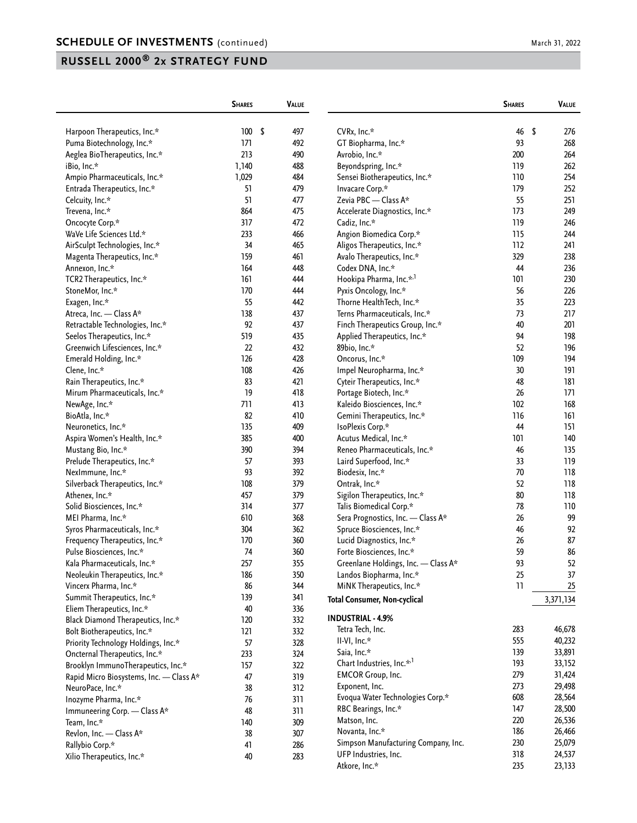|                                         | <b>SHARES</b> |     | <b>VALUE</b> |                                      | <b>SHARES</b> | VALUE     |
|-----------------------------------------|---------------|-----|--------------|--------------------------------------|---------------|-----------|
| Harpoon Therapeutics, Inc.*             | 100           | -\$ | 497          | CVRx, Inc.*                          | 46            | \$<br>276 |
| Puma Biotechnology, Inc.*               | 171           |     | 492          | GT Biopharma, Inc.*                  | 93            | 268       |
| Aeglea BioTherapeutics, Inc.*           | 213           |     | 490          | Avrobio, Inc.*                       | 200           | 264       |
| iBio, Inc.*                             | 1,140         |     | 488          | Beyondspring, Inc.*                  | 119           | 262       |
| Ampio Pharmaceuticals, Inc.*            | 1,029         |     | 484          | Sensei Biotherapeutics, Inc.*        | 110           | 254       |
| Entrada Therapeutics, Inc.*             | 51            |     | 479          | Invacare Corp.*                      | 179           | 252       |
| Celcuity, Inc.*                         | 51            |     | 477          | Zevia PBC - Class A*                 | 55            | 251       |
| Trevena, Inc.*                          | 864           |     | 475          | Accelerate Diagnostics, Inc.*        | 173           | 249       |
| Oncocyte Corp.*                         | 317           |     | 472          | Cadiz, Inc.*                         | 119           | 246       |
| WaVe Life Sciences Ltd.*                | 233           |     | 466          | Angion Biomedica Corp.*              | 115           | 244       |
| AirSculpt Technologies, Inc.*           | 34            |     | 465          | Aligos Therapeutics, Inc.*           | 112           | 241       |
| Magenta Therapeutics, Inc.*             | 159           |     | 461          | Avalo Therapeutics, Inc.*            | 329           | 238       |
| Annexon, Inc.*                          | 164           |     | 448          | Codex DNA, Inc.*                     | 44            | 236       |
| TCR2 Therapeutics, Inc.*                | 161           |     | 444          | Hookipa Pharma, Inc.* <sup>,1</sup>  | 101           | 230       |
| StoneMor, Inc.*                         | 170           |     | 444          | Pyxis Oncology, Inc.*                | 56            | 226       |
| Exagen, Inc.*                           | 55            |     | 442          | Thorne HealthTech, Inc.*             | 35            | 223       |
| Atreca, Inc. - Class A*                 | 138           |     | 437          | Terns Pharmaceuticals, Inc.*         | 73            | 217       |
| Retractable Technologies, Inc.*         | 92            |     | 437          | Finch Therapeutics Group, Inc.*      | 40            | 201       |
| Seelos Therapeutics, Inc.*              | 519           |     | 435          | Applied Therapeutics, Inc.*          | 94            | 198       |
| Greenwich Lifesciences, Inc.*           | 22            |     | 432          | 89bio, Inc.*                         | 52            | 196       |
| Emerald Holding, Inc.*                  | 126           |     | 428          | Oncorus, Inc.*                       | 109           | 194       |
| Clene, Inc.*                            | 108           |     | 426          | Impel Neuropharma, Inc.*             | 30            | 191       |
| Rain Therapeutics, Inc.*                | 83            |     | 421          | Cyteir Therapeutics, Inc.*           | 48            | 181       |
| Mirum Pharmaceuticals, Inc.*            | 19            |     | 418          | Portage Biotech, Inc.*               | 26            | 171       |
| NewAge, Inc.*                           | 711           |     | 413          | Kaleido Biosciences, Inc.*           | 102           | 168       |
| BioAtla, Inc.*                          | 82            |     | 410          | Gemini Therapeutics, Inc.*           | 116           | 161       |
| Neuronetics, Inc.*                      | 135           |     | 409          | IsoPlexis Corp.*                     | 44            | 151       |
| Aspira Women's Health, Inc.*            | 385           |     | 400          | Acutus Medical, Inc.*                | 101           | 140       |
| Mustang Bio, Inc.*                      | 390           |     | 394          | Reneo Pharmaceuticals, Inc.*         | 46            | 135       |
| Prelude Therapeutics, Inc.*             | 57            |     | 393          | Laird Superfood, Inc.*               | 33            | 119       |
| NexImmune, Inc.*                        | 93            |     | 392          | Biodesix, Inc.*                      | 70            | 118       |
| Silverback Therapeutics, Inc.*          | 108           |     | 379          | Ontrak, Inc.*                        | 52            | 118       |
| Athenex, Inc.*                          | 457           |     | 379          | Sigilon Therapeutics, Inc.*          | 80            | 118       |
| Solid Biosciences, Inc.*                | 314           |     | 377          | Talis Biomedical Corp.*              | 78            | 110       |
| MEI Pharma, Inc.*                       | 610           |     | 368          | Sera Prognostics, Inc. - Class A*    | 26            | 99        |
| Syros Pharmaceuticals, Inc.*            | 304           |     | 362          | Spruce Biosciences, Inc.*            | 46            | 92        |
| Frequency Therapeutics, Inc.*           | 170           |     | 360          | Lucid Diagnostics, Inc.*             | 26            | 87        |
| Pulse Biosciences, Inc.*                | 74            |     | 360          | Forte Biosciences, Inc.*             | 59            | 86        |
| Kala Pharmaceuticals, Inc.*             | 257           |     | 355          | Greenlane Holdings, Inc. - Class A*  | 93            | 52        |
| Neoleukin Therapeutics, Inc.*           | 186           |     | 350          | Landos Biopharma, Inc.*              | 25            | 37        |
| Vincerx Pharma, Inc.*                   | 86            |     | 344          | MiNK Therapeutics, Inc.*             | 11            | 25        |
| Summit Therapeutics, Inc.*              | 139           |     | 341          |                                      |               |           |
| Eliem Therapeutics, Inc.*               | 40            |     | 336          | <b>Total Consumer, Non-cyclical</b>  |               | 3,371,134 |
| Black Diamond Therapeutics, Inc.*       | 120           |     | 332          | <b>INDUSTRIAL - 4.9%</b>             |               |           |
| Bolt Biotherapeutics, Inc.*             | 121           |     | 332          | Tetra Tech, Inc.                     | 283           | 46,678    |
| Priority Technology Holdings, Inc.*     | 57            |     | 328          | II-VI, Inc.*                         | 555           | 40,232    |
|                                         | 233           |     | 324          | Saia, Inc.*                          | 139           | 33,891    |
| Oncternal Therapeutics, Inc.*           |               |     |              | Chart Industries, Inc.* <sup>1</sup> | 193           | 33,152    |
| Brooklyn ImmunoTherapeutics, Inc.*      | 157<br>47     |     | 322<br>319   | <b>EMCOR Group, Inc.</b>             | 279           | 31,424    |
| Rapid Micro Biosystems, Inc. - Class A* |               |     |              | Exponent, Inc.                       | 273           | 29,498    |
| NeuroPace, Inc.*                        | 38            |     | 312          | Evoqua Water Technologies Corp.*     | 608           | 28,564    |
| Inozyme Pharma, Inc.*                   | 76            |     | 311          | RBC Bearings, Inc.*                  | 147           | 28,500    |
| Immuneering Corp. - Class A*            | 48            |     | 311          | Matson, Inc.                         | 220           | 26,536    |
| Team, Inc.*                             | 140           |     | 309          | Novanta, Inc.*                       | 186           | 26,466    |
| Revlon, Inc. - Class A*                 | 38            |     | 307          | Simpson Manufacturing Company, Inc.  | 230           | 25,079    |
| Rallybio Corp.*                         | 41            |     | 286          |                                      | 318           |           |
| Xilio Therapeutics, Inc.*               | 40            |     | 283          | UFP Industries, Inc.                 |               | 24,537    |
|                                         |               |     |              | Atkore, Inc.*                        | 235           | 23,133    |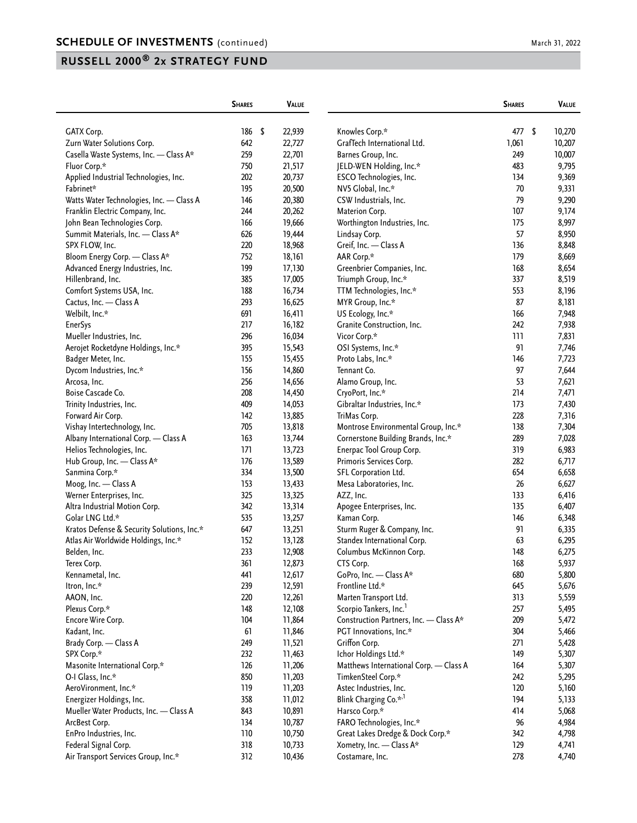|                                                 | <b>SHARES</b> | <b>VALUE</b>     |                                               | <b>SHARES</b> | <b>VALUE</b>     |
|-------------------------------------------------|---------------|------------------|-----------------------------------------------|---------------|------------------|
|                                                 |               | \$               |                                               | 477 \$        |                  |
| <b>GATX Corp.</b><br>Zurn Water Solutions Corp. | 186<br>642    | 22,939<br>22,727 | Knowles Corp.*<br>GrafTech International Ltd. | 1,061         | 10,270<br>10,207 |
|                                                 |               |                  |                                               |               |                  |
| Casella Waste Systems, Inc. - Class A*          | 259           | 22,701           | Barnes Group, Inc.                            | 249           | 10,007           |
| Fluor Corp.*                                    | 750           | 21,517           | JELD-WEN Holding, Inc.*                       | 483           | 9,795            |
| Applied Industrial Technologies, Inc.           | 202           | 20,737           | ESCO Technologies, Inc.                       | 134           | 9,369            |
| Fabrinet*                                       | 195           | 20,500           | NV5 Global, Inc.*                             | 70            | 9,331            |
| Watts Water Technologies, Inc. - Class A        | 146           | 20,380           | CSW Industrials, Inc.                         | 79            | 9,290            |
| Franklin Electric Company, Inc.                 | 244           | 20,262           | Materion Corp.                                | 107           | 9,174            |
| John Bean Technologies Corp.                    | 166           | 19,666           | Worthington Industries, Inc.                  | 175           | 8,997            |
| Summit Materials, Inc. - Class A*               | 626           | 19,444           | Lindsay Corp.                                 | 57            | 8,950            |
| SPX FLOW, Inc.                                  | 220           | 18,968           | Greif, Inc. - Class A                         | 136           | 8,848            |
| Bloom Energy Corp. - Class A*                   | 752           | 18,161           | AAR Corp.*                                    | 179           | 8,669            |
| Advanced Energy Industries, Inc.                | 199           | 17,130           | Greenbrier Companies, Inc.                    | 168           | 8,654            |
| Hillenbrand, Inc.                               | 385           | 17,005           | Triumph Group, Inc.*                          | 337           | 8,519            |
| Comfort Systems USA, Inc.                       | 188           | 16,734           | TTM Technologies, Inc.*                       | 553           | 8,196            |
| Cactus, Inc. - Class A                          | 293           | 16,625           | MYR Group, Inc.*                              | 87            | 8,181            |
| Welbilt, Inc.*                                  | 691           | 16,411           | US Ecology, Inc.*                             | 166           | 7,948            |
| <b>EnerSys</b>                                  | 217           | 16,182           | Granite Construction, Inc.                    | 242           | 7,938            |
| Mueller Industries, Inc.                        | 296           | 16,034           | Vicor Corp.*                                  | 111           | 7,831            |
| Aerojet Rocketdyne Holdings, Inc.*              | 395           | 15,543           | OSI Systems, Inc.*                            | 91            | 7,746            |
| Badger Meter, Inc.                              | 155           | 15,455           | Proto Labs, Inc.*                             | 146           | 7,723            |
| Dycom Industries, Inc.*                         | 156           | 14,860           | Tennant Co.                                   | 97            | 7,644            |
| Arcosa, Inc.                                    | 256           | 14,656           | Alamo Group, Inc.                             | 53            | 7,621            |
| Boise Cascade Co.                               | 208           | 14,450           | CryoPort, Inc.*                               | 214           | 7,471            |
| Trinity Industries, Inc.                        | 409           | 14,053           | Gibraltar Industries, Inc.*                   | 173           | 7,430            |
| Forward Air Corp.                               | 142           | 13,885           | TriMas Corp.                                  | 228           | 7,316            |
| Vishay Intertechnology, Inc.                    | 705           | 13,818           | Montrose Environmental Group, Inc.*           | 138           | 7,304            |
| Albany International Corp. - Class A            | 163           | 13,744           | Cornerstone Building Brands, Inc.*            | 289           | 7,028            |
| Helios Technologies, Inc.                       | 171           | 13,723           | Enerpac Tool Group Corp.                      | 319           | 6,983            |
| Hub Group, Inc. - Class A*                      | 176           | 13,589           | Primoris Services Corp.                       | 282           | 6,717            |
| Sanmina Corp.*                                  | 334           | 13,500           | SFL Corporation Ltd.                          | 654           | 6,658            |
| Moog, Inc. - Class A                            | 153           | 13,433           | Mesa Laboratories, Inc.                       | 26            | 6,627            |
| Werner Enterprises, Inc.                        | 325           | 13,325           | AZZ, Inc.                                     | 133           | 6,416            |
| Altra Industrial Motion Corp.                   | 342           | 13,314           | Apogee Enterprises, Inc.                      | 135           | 6,407            |
| Golar LNG Ltd.*                                 | 535           | 13,257           | Kaman Corp.                                   | 146           | 6,348            |
| Kratos Defense & Security Solutions, Inc.*      | 647           | 13,251           | Sturm Ruger & Company, Inc.                   | 91            | 6,335            |
| Atlas Air Worldwide Holdings, Inc.*             | 152           | 13,128           | Standex International Corp.                   | 63            | 6,295            |
| Belden, Inc.                                    | 233           | 12,908           | Columbus McKinnon Corp.                       | 148           | 6,275            |
| Terex Corp.                                     | 361           | 12,873           | CTS Corp.                                     | 168           | 5,937            |
| Kennametal, Inc.                                | 441           | 12,617           | GoPro, Inc. - Class A*                        | 680           | 5,800            |
| Itron, Inc.*                                    | 239           | 12,591           | Frontline Ltd.*                               | 645           |                  |
|                                                 | 220           | 12,261           |                                               | 313           | 5,676            |
| AAON, Inc.                                      |               |                  | Marten Transport Ltd.                         |               | 5,559            |
| Plexus Corp.*                                   | 148           | 12,108           | Scorpio Tankers, Inc. <sup>1</sup>            | 257           | 5,495            |
| Encore Wire Corp.                               | 104           | 11,864           | Construction Partners, Inc. - Class A*        | 209           | 5,472            |
| Kadant, Inc.                                    | 61            | 11,846           | PGT Innovations, Inc.*                        | 304           | 5,466            |
| Brady Corp. - Class A                           | 249           | 11,521           | Griffon Corp.                                 | 271           | 5,428            |
| SPX Corp.*                                      | 232           | 11,463           | Ichor Holdings Ltd.*                          | 149           | 5,307            |
| Masonite International Corp.*                   | 126           | 11,206           | Matthews International Corp. - Class A        | 164           | 5,307            |
| O-I Glass, Inc.*                                | 850           | 11,203           | TimkenSteel Corp.*                            | 242           | 5,295            |
| AeroVironment, Inc.*                            | 119           | 11,203           | Astec Industries, Inc.                        | 120           | 5,160            |
| Energizer Holdings, Inc.                        | 358           | 11,012           | Blink Charging Co.* <sup>,1</sup>             | 194           | 5,133            |
| Mueller Water Products, Inc. - Class A          | 843           | 10,891           | Harsco Corp.*                                 | 414           | 5,068            |
| ArcBest Corp.                                   | 134           | 10,787           | FARO Technologies, Inc.*                      | 96            | 4,984            |
| EnPro Industries, Inc.                          | 110           | 10,750           | Great Lakes Dredge & Dock Corp.*              | 342           | 4,798            |
| Federal Signal Corp.                            | 318           | 10,733           | Xometry, Inc. - Class A*                      | 129           | 4,741            |
| Air Transport Services Group, Inc.*             | 312           | 10,436           | Costamare, Inc.                               | 278           | 4,740            |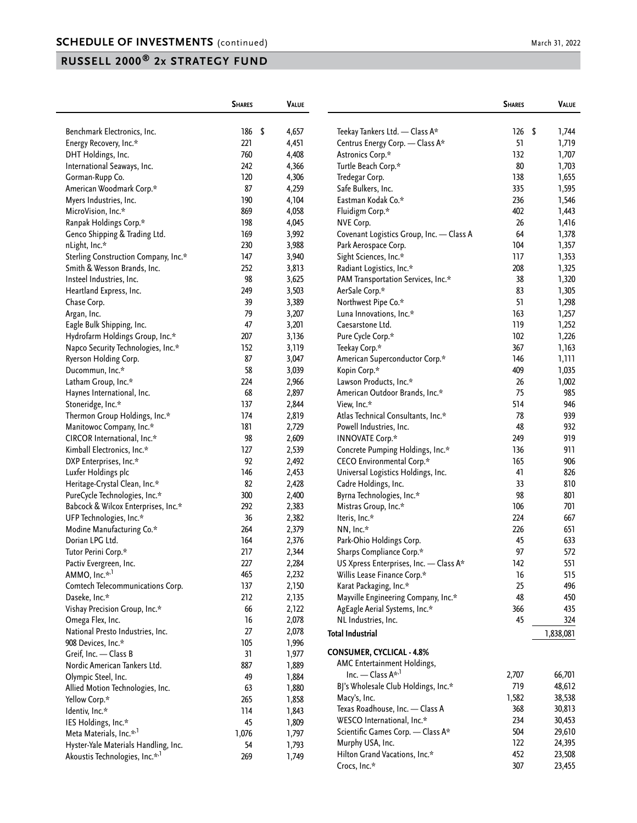|                                            | <b>SHARES</b>     | <b>VALUE</b> |                                          | <b>SHARES</b> | <b>VALUE</b> |
|--------------------------------------------|-------------------|--------------|------------------------------------------|---------------|--------------|
| Benchmark Electronics, Inc.                | $\sqrt{2}$<br>186 | 4,657        | Teekay Tankers Ltd. - Class A*           | 126           | -\$<br>1,744 |
| Energy Recovery, Inc.*                     | 221               | 4,451        | Centrus Energy Corp. - Class A*          | 51            | 1,719        |
| DHT Holdings, Inc.                         | 760               | 4,408        | Astronics Corp.*                         | 132           | 1,707        |
| International Seaways, Inc.                | 242               | 4,366        | Turtle Beach Corp.*                      | 80            | 1,703        |
| Gorman-Rupp Co.                            | 120               | 4,306        | Tredegar Corp.                           | 138           | 1,655        |
| American Woodmark Corp.*                   | 87                | 4,259        | Safe Bulkers, Inc.                       | 335           | 1,595        |
| Myers Industries, Inc.                     | 190               | 4,104        | Eastman Kodak Co.*                       | 236           | 1,546        |
| MicroVision, Inc.*                         | 869               | 4,058        | Fluidigm Corp.*                          | 402           | 1,443        |
| Ranpak Holdings Corp.*                     | 198               | 4,045        | NVE Corp.                                | 26            | 1,416        |
| Genco Shipping & Trading Ltd.              | 169               | 3,992        | Covenant Logistics Group, Inc. - Class A | 64            | 1,378        |
| nLight, Inc.*                              | 230               | 3,988        | Park Aerospace Corp.                     | 104           | 1,357        |
| Sterling Construction Company, Inc.*       | 147               | 3,940        | Sight Sciences, Inc.*                    | 117           | 1,353        |
| Smith & Wesson Brands, Inc.                | 252               | 3,813        | Radiant Logistics, Inc.*                 | 208           | 1,325        |
| Insteel Industries, Inc.                   | 98                | 3,625        | PAM Transportation Services, Inc.*       | 38            | 1,320        |
| Heartland Express, Inc.                    | 249               | 3,503        | AerSale Corp.*                           | 83            | 1,305        |
| Chase Corp.                                | 39                | 3,389        | Northwest Pipe Co.*                      | 51            | 1,298        |
| Argan, Inc.                                | 79                | 3,207        | Luna Innovations, Inc.*                  | 163           | 1,257        |
| Eagle Bulk Shipping, Inc.                  | 47                | 3,201        | Caesarstone Ltd.                         | 119           | 1,252        |
| Hydrofarm Holdings Group, Inc.*            | 207               | 3,136        | Pure Cycle Corp.*                        | 102           | 1,226        |
| Napco Security Technologies, Inc.*         | 152               | 3,119        | Teekay Corp.*                            | 367           | 1,163        |
| Ryerson Holding Corp.                      | 87                | 3,047        | American Superconductor Corp.*           | 146           | 1,111        |
| Ducommun, Inc.*                            | 58                | 3,039        | Kopin Corp.*                             | 409           | 1,035        |
| Latham Group, Inc.*                        | 224               | 2,966        | Lawson Products, Inc.*                   | 26            | 1,002        |
| Haynes International, Inc.                 | 68                | 2,897        | American Outdoor Brands, Inc.*           | 75            | 985          |
| Stoneridge, Inc.*                          | 137               | 2,844        | View, Inc.*                              | 514           | 946          |
| Thermon Group Holdings, Inc.*              | 174               | 2,819        | Atlas Technical Consultants, Inc.*       | 78            | 939          |
| Manitowoc Company, Inc.*                   | 181               | 2,729        | Powell Industries, Inc.                  | 48            | 932          |
| CIRCOR International, Inc.*                | 98                | 2,609        | <b>INNOVATE Corp.*</b>                   | 249           | 919          |
| Kimball Electronics, Inc.*                 | 127               | 2,539        | Concrete Pumping Holdings, Inc.*         | 136           | 911          |
| DXP Enterprises, Inc.*                     | 92                | 2,492        | CECO Environmental Corp.*                | 165           | 906          |
| Luxfer Holdings plc                        | 146               | 2,453        | Universal Logistics Holdings, Inc.       | 41            | 826          |
| Heritage-Crystal Clean, Inc.*              | 82                | 2,428        | Cadre Holdings, Inc.                     | 33            | 810          |
| PureCycle Technologies, Inc.*              | 300               | 2,400        | Byrna Technologies, Inc.*                | 98            | 801          |
| Babcock & Wilcox Enterprises, Inc.*        | 292               | 2,383        | Mistras Group, Inc.*                     | 106           | 701          |
| UFP Technologies, Inc.*                    | 36                | 2,382        | Iteris, Inc.*                            | 224           | 667          |
| Modine Manufacturing Co.*                  | 264               | 2,379        | NN, Inc.*                                | 226           | 651          |
| Dorian LPG Ltd.                            | 164               | 2,376        | Park-Ohio Holdings Corp.                 | 45            | 633          |
| Tutor Perini Corp.*                        | 217               | 2,344        | Sharps Compliance Corp.*                 | 97            | 572          |
| Pactiv Evergreen, Inc.                     | 227               | 2,284        | US Xpress Enterprises, Inc. - Class A*   | 142           | 551          |
| AMMO, Inc.* <sup>1</sup>                   | 465               | 2,232        | Willis Lease Finance Corp.*              | 16            | 515          |
| Comtech Telecommunications Corp.           | 137               | 2,150        | Karat Packaging, Inc.*                   | 25            | 496          |
| Daseke, Inc.*                              | 212               | 2,135        | Mayville Engineering Company, Inc.*      | 48            | 450          |
| Vishay Precision Group, Inc.*              | 66                | 2,122        | AgEagle Aerial Systems, Inc.*            | 366           | 435          |
| Omega Flex, Inc.                           | 16                | 2,078        | NL Industries, Inc.                      | 45            | 324          |
| National Presto Industries, Inc.           | 27                | 2,078        |                                          |               |              |
| 908 Devices, Inc.*                         | 105               | 1,996        | <b>Total Industrial</b>                  |               | 1,838,081    |
| Greif, Inc. - Class B                      | 31                | 1,977        | <b>CONSUMER, CYCLICAL - 4.8%</b>         |               |              |
| Nordic American Tankers Ltd.               | 887               | 1,889        | AMC Entertainment Holdings,              |               |              |
| Olympic Steel, Inc.                        | 49                | 1,884        | Inc. — Class $A^{\star,1}$               | 2,707         | 66,701       |
| Allied Motion Technologies, Inc.           | 63                | 1,880        | BJ's Wholesale Club Holdings, Inc.*      | 719           | 48,612       |
| Yellow Corp.*                              | 265               | 1,858        | Macy's, Inc.                             | 1,582         | 38,538       |
|                                            | 114               |              | Texas Roadhouse, Inc. - Class A          | 368           | 30,813       |
| Identiv, Inc.*                             |                   | 1,843        | WESCO International, Inc.*               | 234           | 30,453       |
| IES Holdings, Inc.*                        | 45                | 1,809        | Scientific Games Corp. - Class A*        | 504           | 29,610       |
| Meta Materials, Inc.* <sup>1</sup>         | 1,076             | 1,797        | Murphy USA, Inc.                         | 122           | 24,395       |
| Hyster-Yale Materials Handling, Inc.       | 54                | 1,793        | Hilton Grand Vacations, Inc.*            | 452           | 23,508       |
| Akoustis Technologies, Inc.* <sup>,1</sup> | 269               | 1,749        | Crocs, Inc.*                             | 307           | 23,455       |
|                                            |                   |              |                                          |               |              |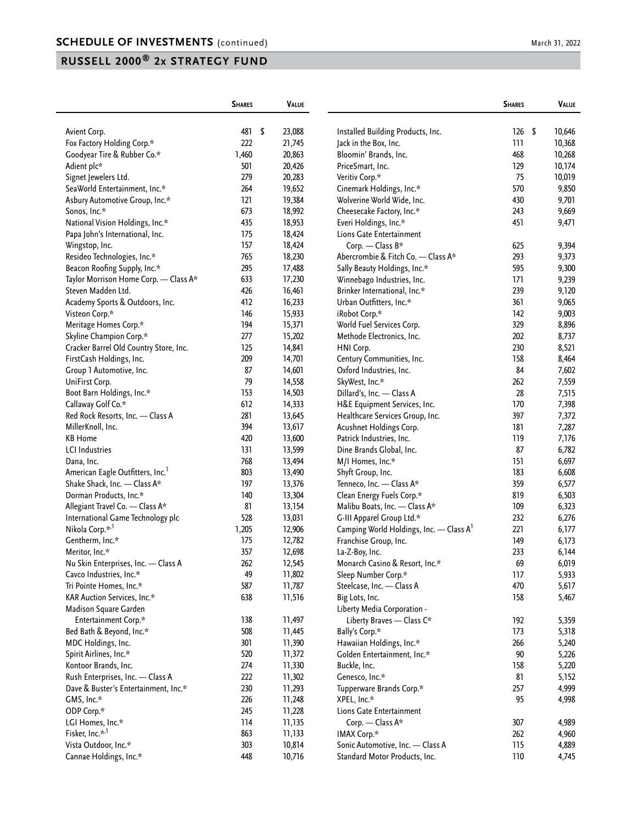|                                              | <b>SHARES</b> | VALUE        |                                                            | <b>SHARES</b> | VALUE          |
|----------------------------------------------|---------------|--------------|------------------------------------------------------------|---------------|----------------|
|                                              | 481           | \$<br>23,088 |                                                            | 126           | \$<br>10,646   |
| Avient Corp.<br>Fox Factory Holding Corp.*   | 222           | 21,745       | Installed Building Products, Inc.<br>Jack in the Box, Inc. | 111           | 10,368         |
| Goodyear Tire & Rubber Co.*                  | 1,460         | 20,863       | Bloomin' Brands, Inc.                                      | 468           | 10,268         |
| Adient plc*                                  | 501           | 20,426       | PriceSmart, Inc.                                           | 129           | 10,174         |
| Signet Jewelers Ltd.                         | 279           | 20,283       | Veritiv Corp.*                                             | 75            | 10,019         |
| SeaWorld Entertainment, Inc.*                | 264           | 19,652       | Cinemark Holdings, Inc.*                                   | 570           | 9,850          |
| Asbury Automotive Group, Inc.*               | 121           | 19,384       | Wolverine World Wide, Inc.                                 | 430           | 9,701          |
| Sonos, Inc.*                                 | 673           | 18,992       | Cheesecake Factory, Inc.*                                  | 243           | 9,669          |
| National Vision Holdings, Inc.*              | 435           | 18,953       | Everi Holdings, Inc.*                                      | 451           | 9,471          |
| Papa John's International, Inc.              | 175           | 18,424       |                                                            |               |                |
|                                              |               |              | Lions Gate Entertainment                                   |               |                |
| Wingstop, Inc.                               | 157           | 18,424       | Corp. - Class B*                                           | 625           | 9,394          |
| Resideo Technologies, Inc.*                  | 765           | 18,230       | Abercrombie & Fitch Co. - Class A*                         | 293           | 9,373          |
| Beacon Roofing Supply, Inc.*                 | 295           | 17,488       | Sally Beauty Holdings, Inc.*                               | 595           | 9,300          |
| Taylor Morrison Home Corp. - Class A*        | 633           | 17,230       | Winnebago Industries, Inc.                                 | 171           | 9,239          |
| Steven Madden Ltd.                           | 426           | 16,461       | Brinker International, Inc.*                               | 239           | 9,120          |
| Academy Sports & Outdoors, Inc.              | 412           | 16,233       | Urban Outfitters, Inc.*                                    | 361           | 9,065          |
| Visteon Corp.*                               | 146           | 15,933       | iRobot Corp.*                                              | 142           | 9,003          |
| Meritage Homes Corp.*                        | 194           | 15,371       | World Fuel Services Corp.                                  | 329           | 8,896          |
| Skyline Champion Corp.*                      | 277           | 15,202       | Methode Electronics, Inc.                                  | 202           | 8,737          |
| Cracker Barrel Old Country Store, Inc.       | 125           | 14,841       | HNI Corp.                                                  | 230           | 8,521          |
| FirstCash Holdings, Inc.                     | 209           | 14,701       | Century Communities, Inc.                                  | 158           | 8,464          |
| Group 1 Automotive, Inc.                     | 87            | 14,601       | Oxford Industries, Inc.                                    | 84            | 7,602          |
| UniFirst Corp.                               | 79            | 14,558       | SkyWest, Inc.*                                             | 262           | 7,559          |
| Boot Barn Holdings, Inc.*                    | 153           | 14,503       | Dillard's, Inc. - Class A                                  | 28            | 7,515          |
| Callaway Golf Co.*                           | 612           | 14,333       | H&E Equipment Services, Inc.                               | 170           | 7,398          |
| Red Rock Resorts, Inc. - Class A             | 281           | 13,645       | Healthcare Services Group, Inc.                            | 397           | 7,372          |
| MillerKnoll, Inc.                            | 394           | 13,617       | Acushnet Holdings Corp.                                    | 181           | 7,287          |
| <b>KB</b> Home                               | 420           | 13,600       | Patrick Industries, Inc.                                   | 119           | 7,176          |
| <b>LCI</b> Industries                        | 131           | 13,599       | Dine Brands Global, Inc.                                   | 87            | 6,782          |
| Dana, Inc.                                   | 768           | 13,494       | M/I Homes, Inc.*                                           | 151           | 6,697          |
| American Eagle Outfitters, Inc. <sup>1</sup> | 803           | 13,490       | Shyft Group, Inc.                                          | 183           | 6,608          |
| Shake Shack, Inc. - Class A*                 | 197           | 13,376       | Tenneco, Inc. - Class A*                                   | 359           | 6,577          |
| Dorman Products, Inc.*                       | 140           | 13,304       | Clean Energy Fuels Corp.*                                  | 819           | 6,503          |
| Allegiant Travel Co. - Class A*              | 81            | 13,154       | Malibu Boats, Inc. - Class A*                              | 109           | 6,323          |
| International Game Technology plc            | 528           | 13,031       | G-III Apparel Group Ltd.*                                  | 232           | 6,276          |
| Nikola Corp.* <sup>,1</sup>                  | 1,205         | 12,906       | Camping World Holdings, Inc. - Class A <sup>1</sup>        | 221           | 6,177          |
| Gentherm, Inc.*                              | 175           | 12,782       | Franchise Group, Inc.                                      | 149           | 6,173          |
| Meritor, Inc.*                               | 357           | 12,698       | La-Z-Boy, Inc.                                             | 233           | 6,144          |
| Nu Skin Enterprises, Inc. - Class A          | 262           | 12,545       | Monarch Casino & Resort, Inc.*                             | 69            | 6,019          |
| Cavco Industries, Inc.*                      | 49            | 11,802       | Sleep Number Corp.*                                        | 117           | 5,933          |
| Tri Pointe Homes, Inc.*                      | 587           | 11,787       | Steelcase, Inc. - Class A                                  | 470           | 5,617          |
| KAR Auction Services, Inc.*                  | 638           | 11,516       | Big Lots, Inc.                                             | 158           | 5,467          |
| Madison Square Garden                        |               |              | Liberty Media Corporation -                                |               |                |
| Entertainment Corp.*                         | 138           | 11,497       | Liberty Braves - Class C*                                  | 192           | 5,359          |
| Bed Bath & Beyond, Inc.*                     | 508           | 11,445       | Bally's Corp.*                                             | 173           | 5,318          |
| MDC Holdings, Inc.                           | 301           | 11,390       | Hawaiian Holdings, Inc.*                                   | 266           | 5,240          |
| Spirit Airlines, Inc.*                       | 520           | 11,372       | Golden Entertainment, Inc.*                                | 90            | 5,226          |
| Kontoor Brands, Inc.                         | 274           | 11,330       | Buckle, Inc.                                               | 158           | 5,220          |
| Rush Enterprises, Inc. - Class A             | 222           | 11,302       | Genesco, Inc.*                                             | 81            | 5,152          |
| Dave & Buster's Entertainment, Inc.*         | 230           | 11,293       | Tupperware Brands Corp.*                                   | 257           | 4,999          |
| GMS, Inc.*                                   | 226           | 11,248       | XPEL, Inc.*                                                | 95            | 4,998          |
| ODP Corp.*                                   | 245           | 11,228       | Lions Gate Entertainment                                   |               |                |
| LGI Homes, Inc.*                             | 114           | 11,135       | Corp. - Class A*                                           | 307           | 4,989          |
| Fisker, Inc.* <sup>,1</sup>                  | 863           | 11,133       | IMAX Corp.*                                                | 262           |                |
| Vista Outdoor, Inc.*                         | 303           | 10,814       | Sonic Automotive, Inc. - Class A                           | 115           | 4,960<br>4,889 |
|                                              |               |              |                                                            |               |                |
| Cannae Holdings, Inc.*                       | 448           | 10,716       | Standard Motor Products, Inc.                              | 110           | 4,745          |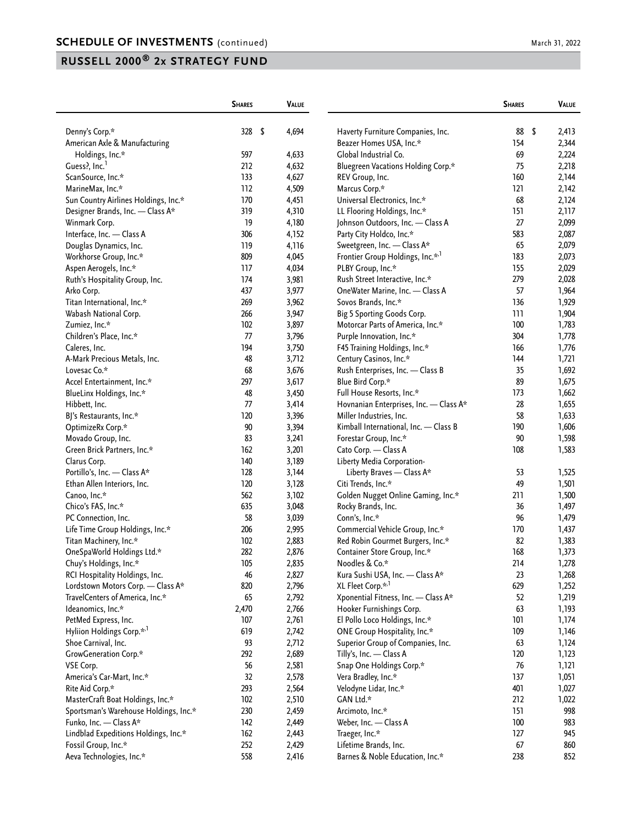|                                       | <b>SHARES</b> | <b>VALUE</b> |                                              | <b>SHARES</b> | VALUE       |
|---------------------------------------|---------------|--------------|----------------------------------------------|---------------|-------------|
| Denny's Corp.*                        | 328           | \$<br>4,694  | Haverty Furniture Companies, Inc.            | 88            | \$<br>2,413 |
| American Axle & Manufacturing         |               |              | Beazer Homes USA, Inc.*                      | 154           | 2,344       |
| Holdings, Inc.*                       | 597           | 4,633        | Global Industrial Co.                        | 69            | 2,224       |
| Guess?, Inc. <sup>1</sup>             | 212           | 4,632        | Bluegreen Vacations Holding Corp.*           | 75            | 2,218       |
| ScanSource, Inc.*                     | 133           | 4,627        | REV Group, Inc.                              | 160           | 2,144       |
| MarineMax, Inc.*                      | 112           | 4,509        | Marcus Corp.*                                | 121           | 2,142       |
| Sun Country Airlines Holdings, Inc.*  | 170           | 4,451        | Universal Electronics, Inc.*                 | 68            | 2,124       |
| Designer Brands, Inc. - Class A*      | 319           | 4,310        | LL Flooring Holdings, Inc.*                  | 151           | 2,117       |
| Winmark Corp.                         | 19            | 4,180        | Johnson Outdoors, Inc. - Class A             | 27            | 2,099       |
| Interface, Inc. - Class A             | 306           | 4,152        | Party City Holdco, Inc.*                     | 583           | 2,087       |
| Douglas Dynamics, Inc.                | 119           | 4,116        | Sweetgreen, Inc. - Class A*                  | 65            | 2,079       |
| Workhorse Group, Inc.*                | 809           | 4,045        | Frontier Group Holdings, Inc.* <sup>,1</sup> | 183           | 2,073       |
| Aspen Aerogels, Inc.*                 | 117           | 4,034        | PLBY Group, Inc.*                            | 155           | 2,029       |
| Ruth's Hospitality Group, Inc.        | 174           | 3,981        | Rush Street Interactive, Inc.*               | 279           | 2,028       |
| Arko Corp.                            | 437           | 3,977        | OneWater Marine, Inc. - Class A              | 57            | 1,964       |
| Titan International, Inc.*            | 269           | 3,962        | Sovos Brands, Inc.*                          | 136           | 1,929       |
| Wabash National Corp.                 | 266           | 3,947        | Big 5 Sporting Goods Corp.                   | 111           | 1,904       |
| Zumiez, Inc.*                         | 102           | 3,897        | Motorcar Parts of America, Inc.*             | 100           | 1,783       |
| Children's Place, Inc.*               | 77            | 3,796        | Purple Innovation, Inc.*                     | 304           | 1,778       |
| Caleres, Inc.                         | 194           | 3,750        | F45 Training Holdings, Inc.*                 | 166           | 1,776       |
| A-Mark Precious Metals, Inc.          | 48            | 3,712        | Century Casinos, Inc.*                       | 144           | 1,721       |
| Lovesac Co.*                          | 68            | 3,676        | Rush Enterprises, Inc. - Class B             | 35            | 1,692       |
| Accel Entertainment, Inc.*            | 297           | 3,617        | Blue Bird Corp.*                             | 89            | 1,675       |
| BlueLinx Holdings, Inc.*              | 48            | 3,450        | Full House Resorts, Inc.*                    | 173           | 1,662       |
| Hibbett, Inc.                         | 77            | 3,414        | Hovnanian Enterprises, Inc. - Class A*       | 28            | 1,655       |
| BJ's Restaurants, Inc.*               | 120           | 3,396        | Miller Industries, Inc.                      | 58            | 1,633       |
| OptimizeRx Corp.*                     | 90            | 3,394        | Kimball International, Inc. - Class B        | 190           | 1,606       |
| Movado Group, Inc.                    | 83            | 3,241        | Forestar Group, Inc.*                        | 90            | 1,598       |
| Green Brick Partners, Inc.*           | 162           | 3,201        | Cato Corp. - Class A                         | 108           | 1,583       |
| Clarus Corp.                          | 140           | 3,189        | Liberty Media Corporation-                   |               |             |
| Portillo's, Inc. - Class A*           | 128           | 3,144        | Liberty Braves - Class A*                    | 53            | 1,525       |
| Ethan Allen Interiors, Inc.           | 120           | 3,128        | Citi Trends, Inc.*                           | 49            | 1,501       |
| Canoo, Inc.*                          | 562           | 3,102        | Golden Nugget Online Gaming, Inc.*           | 211           | 1,500       |
| Chico's FAS, Inc.*                    | 635           | 3,048        | Rocky Brands, Inc.                           | 36            | 1,497       |
| PC Connection, Inc.                   | 58            | 3,039        | Conn's, Inc.*                                | 96            | 1,479       |
| Life Time Group Holdings, Inc.*       | 206           | 2,995        | Commercial Vehicle Group, Inc.*              | 170           | 1,437       |
| Titan Machinery, Inc.*                | 102           | 2,883        | Red Robin Gourmet Burgers, Inc.*             | 82            | 1,383       |
| OneSpaWorld Holdings Ltd.*            | 282           | 2,876        | Container Store Group, Inc.*                 | 168           | 1,373       |
| Chuy's Holdings, Inc.*                | 105           | 2,835        | Noodles & Co.*                               | 214           | 1,278       |
| RCI Hospitality Holdings, Inc.        | 46            | 2,827        | Kura Sushi USA, Inc. - Class A*              | 23            | 1,268       |
| Lordstown Motors Corp. - Class A*     | 820           | 2,796        | XL Fleet Corp.* <sup>,1</sup>                | 629           | 1,252       |
| TravelCenters of America, Inc.*       | 65            | 2,792        | Xponential Fitness, Inc. - Class A*          | 52            | 1,219       |
| Ideanomics, Inc.*                     | 2,470         | 2,766        | Hooker Furnishings Corp.                     | 63            | 1,193       |
| PetMed Express, Inc.                  | 107           | 2,761        | El Pollo Loco Holdings, Inc.*                | 101           | 1,174       |
| Hyliion Holdings Corp.* <sup>,1</sup> | 619           | 2,742        | ONE Group Hospitality, Inc.*                 | 109           | 1,146       |
| Shoe Carnival, Inc.                   | 93            | 2,712        | Superior Group of Companies, Inc.            | 63            | 1,124       |
| GrowGeneration Corp.*                 | 292           | 2,689        | Tilly's, Inc. - Class A                      | 120           | 1,123       |
| VSE Corp.                             | 56            | 2,581        | Snap One Holdings Corp.*                     | 76            | 1,121       |
| America's Car-Mart, Inc.*             | 32            | 2,578        | Vera Bradley, Inc.*                          | 137           | 1,051       |
| Rite Aid Corp.*                       | 293           | 2,564        | Velodyne Lidar, Inc.*                        | 401           | 1,027       |
| MasterCraft Boat Holdings, Inc.*      | 102           | 2,510        | GAN Ltd.*                                    | 212           | 1,022       |
| Sportsman's Warehouse Holdings, Inc.* | 230           | 2,459        | Arcimoto, Inc.*                              | 151           | 998         |
| Funko, Inc. - Class A*                | 142           | 2,449        | Weber, Inc. - Class A                        | 100           | 983         |
| Lindblad Expeditions Holdings, Inc.*  | 162           | 2,443        | Traeger, Inc.*                               | 127           | 945         |
| Fossil Group, Inc.*                   | 252           | 2,429        | Lifetime Brands, Inc.                        | 67            | 860         |
| Aeva Technologies, Inc.*              | 558           | 2,416        | Barnes & Noble Education, Inc.*              | 238           | 852         |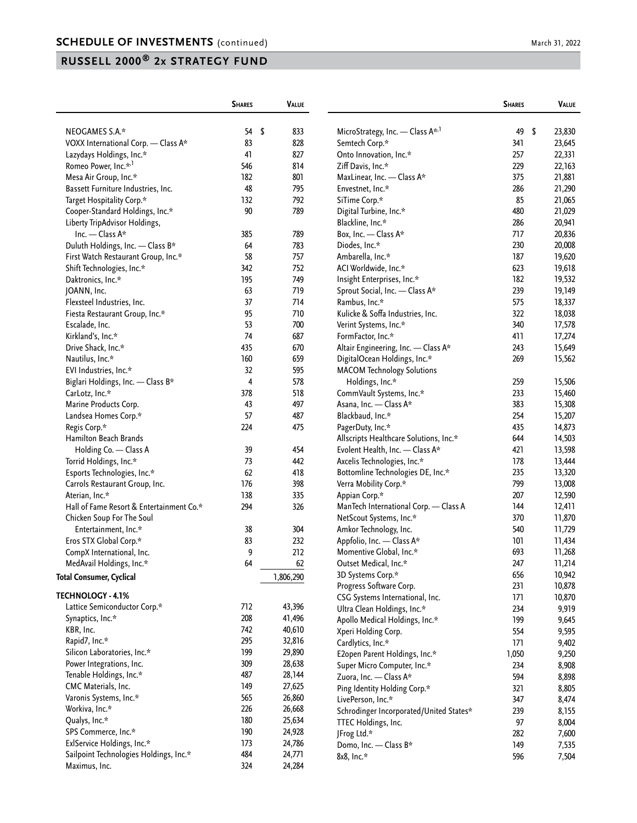|                                          | <b>SHARES</b> | <b>VALUE</b> |    |                                              | <b>SHARES</b> | VALUE        |
|------------------------------------------|---------------|--------------|----|----------------------------------------------|---------------|--------------|
| NEOGAMES S.A.*                           | 54            | \$<br>833    |    | MicroStrategy, Inc. - Class A <sup>*,1</sup> | 49            | \$<br>23,830 |
| VOXX International Corp. - Class A*      | 83            | 828          |    | Semtech Corp.*                               | 341           | 23,645       |
| Lazydays Holdings, Inc.*                 | 41            | 827          |    | Onto Innovation, Inc.*                       | 257           | 22,331       |
| Romeo Power, Inc.* <sup>1</sup>          | 546           | 814          |    | Ziff Davis, Inc.*                            | 229           | 22,163       |
| Mesa Air Group, Inc.*                    | 182           | 801          |    | MaxLinear, Inc. - Class A*                   | 375           | 21,881       |
| Bassett Furniture Industries, Inc.       | 48            | 795          |    | Envestnet, Inc.*                             | 286           | 21,290       |
| Target Hospitality Corp.*                | 132           | 792          |    | SiTime Corp.*                                | 85            | 21,065       |
| Cooper-Standard Holdings, Inc.*          | 90            | 789          |    | Digital Turbine, Inc.*                       | 480           | 21,029       |
| Liberty TripAdvisor Holdings,            |               |              |    | Blackline, Inc.*                             | 286           | 20,941       |
| Inc. $-$ Class A*                        | 385           | 789          |    | Box, Inc. - Class A*                         | 717           | 20,836       |
| Duluth Holdings, Inc. - Class B*         | 64            | 783          |    | Diodes, Inc.*                                | 230           | 20,008       |
| First Watch Restaurant Group, Inc.*      | 58            | 757          |    | Ambarella, Inc.*                             | 187           | 19,620       |
| Shift Technologies, Inc.*                | 342           | 752          |    | ACI Worldwide, Inc.*                         | 623           | 19,618       |
| Daktronics, Inc.*                        | 195           | 749          |    | Insight Enterprises, Inc.*                   | 182           | 19,532       |
| JOANN, Inc.                              | 63            | 719          |    | Sprout Social, Inc. - Class A*               | 239           | 19,149       |
| Flexsteel Industries, Inc.               | 37            | 714          |    | Rambus, Inc.*                                | 575           | 18,337       |
| Fiesta Restaurant Group, Inc.*           | 95            | 710          |    | Kulicke & Soffa Industries, Inc.             | 322           | 18,038       |
| Escalade, Inc.                           | 53            | 700          |    | Verint Systems, Inc.*                        | 340           | 17,578       |
| Kirkland's, Inc.*                        | 74            | 687          |    | FormFactor, Inc.*                            | 411           | 17,274       |
| Drive Shack, Inc.*                       | 435           | 670          |    | Altair Engineering, Inc. - Class A*          | 243           | 15,649       |
| Nautilus, Inc.*                          | 160           | 659          |    | DigitalOcean Holdings, Inc.*                 | 269           |              |
| EVI Industries, Inc.*                    | 32            | 595          |    | <b>MACOM Technology Solutions</b>            |               | 15,562       |
| Biglari Holdings, Inc. - Class B*        | 4             | 578          |    | Holdings, Inc.*                              | 259           | 15,506       |
|                                          | 378           | 518          |    | CommVault Systems, Inc.*                     | 233           |              |
| CarLotz, Inc.*                           | 43            | 497          |    |                                              |               | 15,460       |
| Marine Products Corp.                    | 57            | 487          |    | Asana, Inc. - Class A*                       | 383           | 15,308       |
| Landsea Homes Corp.*                     | 224           | 475          |    | Blackbaud, Inc.*                             | 254<br>435    | 15,207       |
| Regis Corp.*                             |               |              |    | PagerDuty, Inc.*                             |               | 14,873       |
| Hamilton Beach Brands                    |               |              |    | Allscripts Healthcare Solutions, Inc.*       | 644           | 14,503       |
| Holding Co. - Class A                    | 39            | 454          |    | Evolent Health, Inc. - Class A*              | 421           | 13,598       |
| Torrid Holdings, Inc.*                   | 73            | 442          |    | Axcelis Technologies, Inc.*                  | 178           | 13,444       |
| Esports Technologies, Inc.*              | 62            | 418          |    | Bottomline Technologies DE, Inc.*            | 235           | 13,320       |
| Carrols Restaurant Group, Inc.           | 176           | 398          |    | Verra Mobility Corp.*                        | 799           | 13,008       |
| Aterian, Inc.*                           | 138           | 335          |    | Appian Corp.*                                | 207           | 12,590       |
| Hall of Fame Resort & Entertainment Co.* | 294           | 326          |    | ManTech International Corp. - Class A        | 144           | 12,411       |
| Chicken Soup For The Soul                |               |              |    | NetScout Systems, Inc.*                      | 370           | 11,870       |
| Entertainment, Inc.*                     | 38            | 304          |    | Amkor Technology, Inc.                       | 540           | 11,729       |
| Eros STX Global Corp.*                   | 83            | 232          |    | Appfolio, Inc. - Class A*                    | 101           | 11,434       |
| CompX International, Inc.                | 9             | 212          |    | Momentive Global, Inc.*                      | 693           | 11,268       |
| MedAvail Holdings, Inc.*                 | 64            |              | 62 | Outset Medical, Inc.*                        | 247           | 11,214       |
| Total Consumer, Cyclical                 |               | 1,806,290    |    | 3D Systems Corp.*                            | 656           | 10,942       |
| <b>TECHNOLOGY - 4.1%</b>                 |               |              |    | Progress Software Corp.                      | 231           | 10,878       |
|                                          | 712           |              |    | CSG Systems International, Inc.              | 171           | 10,870       |
| Lattice Semiconductor Corp.*             | 208           | 43,396       |    | Ultra Clean Holdings, Inc.*                  | 234           | 9,919        |
| Synaptics, Inc.*                         |               | 41,496       |    | Apollo Medical Holdings, Inc.*               | 199           | 9,645        |
| KBR, Inc.                                | 742           | 40,610       |    | Xperi Holding Corp.                          | 554           | 9,595        |
| Rapid7, Inc.*                            | 295           | 32,816       |    | Cardlytics, Inc.*                            | 171           | 9,402        |
| Silicon Laboratories, Inc.*              | 199           | 29,890       |    | E2open Parent Holdings, Inc.*                | 1,050         | 9,250        |
| Power Integrations, Inc.                 | 309           | 28,638       |    | Super Micro Computer, Inc.*                  | 234           | 8,908        |
| Tenable Holdings, Inc.*                  | 487           | 28,144       |    | Zuora, Inc. - Class A*                       | 594           | 8,898        |
| CMC Materials, Inc.                      | 149           | 27,625       |    | Ping Identity Holding Corp.*                 | 321           | 8,805        |
| Varonis Systems, Inc.*                   | 565           | 26,860       |    | LivePerson, Inc.*                            | 347           | 8,474        |
| Workiva, Inc.*                           | 226           | 26,668       |    | Schrodinger Incorporated/United States*      | 239           | 8,155        |
| Qualys, Inc.*                            | 180           | 25,634       |    | TTEC Holdings, Inc.                          | 97            | 8,004        |
| SPS Commerce, Inc.*                      | 190           | 24,928       |    | JFrog Ltd.*                                  | 282           | 7,600        |
| ExlService Holdings, Inc.*               | 173           | 24,786       |    | Domo, Inc. - Class B*                        | 149           | 7,535        |
| Sailpoint Technologies Holdings, Inc.*   | 484           | 24,771       |    | 8x8, Inc.*                                   | 596           | 7,504        |
| Maximus, Inc.                            | 324           | 24,284       |    |                                              |               |              |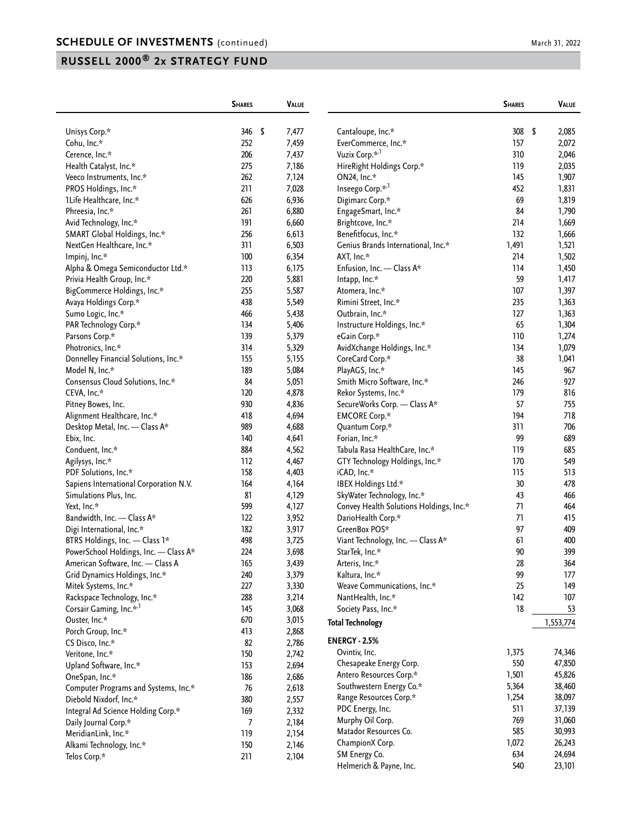|                                                                 | <b>SHARES</b> | <b>VALUE</b> |                                         | <b>SHARES</b> | VALUE         |
|-----------------------------------------------------------------|---------------|--------------|-----------------------------------------|---------------|---------------|
| Unisys Corp.*                                                   | 346<br>- \$   | 7,477        | Cantaloupe, Inc.*                       | 308           | - \$<br>2,085 |
| Cohu, Inc.*                                                     | 252           | 7,459        | EverCommerce, Inc.*                     | 157           | 2,072         |
| Cerence, Inc.*                                                  | 206           | 7,437        | Vuzix Corp. <sup>*/1</sup>              | 310           | 2,046         |
| Health Catalyst, Inc.*                                          | 275           | 7,186        | HireRight Holdings Corp.*               | 119           | 2,035         |
| Veeco Instruments, Inc.*                                        | 262           | 7,124        | ON24, Inc.*                             | 145           | 1,907         |
| PROS Holdings, Inc.*                                            | 211           | 7,028        | Inseego Corp.* <sup>1</sup>             | 452           | 1,831         |
| 1Life Healthcare, Inc.*                                         | 626           | 6,936        | Digimarc Corp.*                         | 69            | 1,819         |
| Phreesia, Inc.*                                                 | 261           | 6,880        | EngageSmart, Inc.*                      | 84            | 1,790         |
| Avid Technology, Inc.*                                          | 191           | 6,660        | Brightcove, Inc.*                       | 214           | 1,669         |
| SMART Global Holdings, Inc.*                                    | 256           | 6,613        | Benefitfocus, Inc.*                     | 132           | 1,666         |
| NextGen Healthcare, Inc.*                                       | 311           | 6,503        | Genius Brands International, Inc.*      | 1,491         | 1,521         |
| Impinj, Inc.*                                                   | 100           | 6,354        | AXT, Inc.*                              | 214           | 1,502         |
|                                                                 | 113           | 6,175        | Enfusion, Inc. - Class A*               | 114           | 1,450         |
| Alpha & Omega Semiconductor Ltd.*<br>Privia Health Group, Inc.* | 220           | 5,881        |                                         | 59            | 1,417         |
| BigCommerce Holdings, Inc.*                                     | 255           | 5,587        | Intapp, Inc.*<br>Atomera, Inc.*         | 107           | 1,397         |
|                                                                 | 438           |              |                                         | 235           |               |
| Avaya Holdings Corp.*                                           |               | 5,549        | Rimini Street, Inc.*                    |               | 1,363         |
| Sumo Logic, Inc.*                                               | 466           | 5,438        | Outbrain, Inc.*                         | 127           | 1,363         |
| PAR Technology Corp.*                                           | 134           | 5,406        | Instructure Holdings, Inc.*             | 65            | 1,304         |
| Parsons Corp.*                                                  | 139           | 5,379        | eGain Corp.*                            | 110           | 1,274         |
| Photronics, Inc.*                                               | 314           | 5,329        | AvidXchange Holdings, Inc.*             | 134           | 1,079         |
| Donnelley Financial Solutions, Inc.*                            | 155           | 5,155        | CoreCard Corp.*                         | 38            | 1,041         |
| Model N, Inc.*                                                  | 189           | 5,084        | PlayAGS, Inc.*                          | 145           | 967           |
| Consensus Cloud Solutions, Inc.*                                | 84            | 5,051        | Smith Micro Software, Inc.*             | 246           | 927           |
| CEVA, Inc.*                                                     | 120           | 4,878        | Rekor Systems, Inc.*                    | 179           | 816           |
| Pitney Bowes, Inc.                                              | 930           | 4,836        | SecureWorks Corp. - Class A*            | 57            | 755           |
| Alignment Healthcare, Inc.*                                     | 418           | 4,694        | <b>EMCORE Corp.*</b>                    | 194           | 718           |
| Desktop Metal, Inc. - Class A*                                  | 989           | 4,688        | Quantum Corp.*                          | 311           | 706           |
| Ebix, Inc.                                                      | 140           | 4,641        | Forian, Inc.*                           | 99            | 689           |
| Conduent, Inc.*                                                 | 884           | 4,562        | Tabula Rasa HealthCare, Inc.*           | 119           | 685           |
| Agilysys, Inc.*                                                 | 112           | 4,467        | GTY Technology Holdings, Inc.*          | 170           | 549           |
| PDF Solutions, Inc.*                                            | 158           | 4,403        | iCAD, Inc.*                             | 115           | 513           |
| Sapiens International Corporation N.V.                          | 164           | 4,164        | IBEX Holdings Ltd.*                     | 30            | 478           |
| Simulations Plus, Inc.                                          | 81            | 4,129        | SkyWater Technology, Inc.*              | 43            | 466           |
| Yext, Inc.*                                                     | 599           | 4,127        | Convey Health Solutions Holdings, Inc.* | 71            | 464           |
| Bandwidth, Inc. - Class A*                                      | 122           | 3,952        | DarioHealth Corp.*                      | 71            | 415           |
| Digi International, Inc.*                                       | 182           | 3,917        | GreenBox POS*                           | 97            | 409           |
| BTRS Holdings, Inc. - Class 1*                                  | 498           | 3,725        | Viant Technology, Inc. - Class A*       | 61            | 400           |
| PowerSchool Holdings, Inc. - Class A*                           | 224           | 3,698        | StarTek, Inc.*                          | 90            | 399           |
| American Software, Inc. - Class A                               | 165           | 3,439        | Arteris, Inc.*                          | 28            | 364           |
| Grid Dynamics Holdings, Inc.*                                   | 240           | 3,379        | Kaltura, Inc.*                          | 99            | 177           |
| Mitek Systems, Inc.*                                            | 227           | 3,330        | Weave Communications, Inc.*             | 25            | 149           |
| Rackspace Technology, Inc.*                                     | 288           | 3,214        | NantHealth, Inc.*                       | 142           | 107           |
| Corsair Gaming, Inc.* <sup>,1</sup>                             | 145           | 3,068        | Society Pass, Inc.*                     | 18            | 53            |
| Ouster, Inc.*                                                   | 670           | 3,015        | <b>Total Technology</b>                 |               | 1,553,774     |
| Porch Group, Inc.*                                              | 413           | 2,868        |                                         |               |               |
| CS Disco, Inc.*                                                 | 82            | 2,786        | <b>ENERGY - 2.5%</b>                    |               |               |
| Veritone, Inc.*                                                 | 150           | 2,742        | Ovintiv, Inc.                           | 1,375         | 74,346        |
| Upland Software, Inc.*                                          | 153           | 2,694        | Chesapeake Energy Corp.                 | 550           | 47,850        |
| OneSpan, Inc.*                                                  | 186           | 2,686        | Antero Resources Corp.*                 | 1,501         | 45,826        |
| Computer Programs and Systems, Inc.*                            | 76            | 2,618        | Southwestern Energy Co.*                | 5,364         | 38,460        |
| Diebold Nixdorf, Inc.*                                          | 380           | 2,557        | Range Resources Corp.*                  | 1,254         | 38,097        |
| Integral Ad Science Holding Corp.*                              | 169           | 2,332        | PDC Energy, Inc.                        | 511           | 37,139        |
| Daily Journal Corp.*                                            | 7             | 2,184        | Murphy Oil Corp.                        | 769           | 31,060        |
| MeridianLink, Inc.*                                             | 119           | 2,154        | Matador Resources Co.                   | 585           | 30,993        |
| Alkami Technology, Inc.*                                        | 150           | 2,146        | ChampionX Corp.                         | 1,072         | 26,243        |
| Telos Corp.*                                                    | 211           | 2,104        | SM Energy Co.                           | 634           | 24,694        |
|                                                                 |               |              | Helmerich & Payne, Inc.                 | 540           | 23,101        |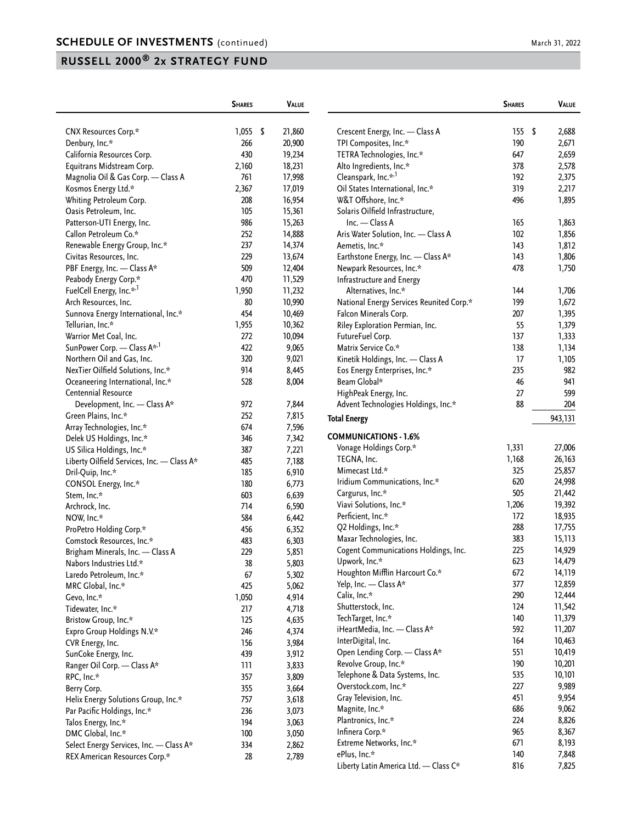|                                            | <b>SHARES</b> | VALUE  |                                          | <b>SHARES</b> | VALUE   |
|--------------------------------------------|---------------|--------|------------------------------------------|---------------|---------|
| CNX Resources Corp.*                       | $1,055$ \$    | 21,860 | Crescent Energy, Inc. - Class A          | 155S          | 2,688   |
| Denbury, Inc.*                             | 266           | 20,900 | TPI Composites, Inc.*                    | 190           | 2,671   |
| California Resources Corp.                 | 430           | 19,234 | TETRA Technologies, Inc.*                | 647           | 2,659   |
| Equitrans Midstream Corp.                  | 2,160         | 18,231 | Alto Ingredients, Inc.*                  | 378           | 2,578   |
| Magnolia Oil & Gas Corp. - Class A         | 761           | 17,998 | Cleanspark, Inc.* <sup>,1</sup>          | 192           | 2,375   |
| Kosmos Energy Ltd.*                        | 2,367         | 17,019 | Oil States International, Inc.*          | 319           | 2,217   |
| Whiting Petroleum Corp.                    | 208           | 16,954 | W&T Offshore, Inc.*                      | 496           | 1,895   |
| Oasis Petroleum, Inc.                      | 105           | 15,361 | Solaris Oilfield Infrastructure,         |               |         |
| Patterson-UTI Energy, Inc.                 | 986           | 15,263 | Inc. - Class A                           | 165           | 1,863   |
| Callon Petroleum Co.*                      | 252           | 14,888 | Aris Water Solution, Inc. - Class A      | 102           | 1,856   |
| Renewable Energy Group, Inc.*              | 237           | 14,374 | Aemetis, Inc.*                           | 143           | 1,812   |
| Civitas Resources, Inc.                    | 229           | 13,674 | Earthstone Energy, Inc. - Class A*       | 143           | 1,806   |
| PBF Energy, Inc. - Class A*                | 509           | 12,404 | Newpark Resources, Inc.*                 | 478           | 1,750   |
| Peabody Energy Corp.*                      | 470           | 11,529 | Infrastructure and Energy                |               |         |
| FuelCell Energy, Inc.* <sup>,1</sup>       | 1,950         | 11,232 | Alternatives, Inc.*                      | 144           | 1,706   |
| Arch Resources, Inc.                       | 80            | 10,990 | National Energy Services Reunited Corp.* | 199           | 1,672   |
| Sunnova Energy International, Inc.*        | 454           | 10,469 | Falcon Minerals Corp.                    | 207           | 1,395   |
| Tellurian, Inc.*                           | 1,955         | 10,362 | Riley Exploration Permian, Inc.          | 55            | 1,379   |
| Warrior Met Coal, Inc.                     | 272           | 10,094 | FutureFuel Corp.                         | 137           | 1,333   |
| SunPower Corp. - Class A* <sup>1</sup>     | 422           | 9,065  | Matrix Service Co.*                      | 138           | 1,134   |
| Northern Oil and Gas, Inc.                 | 320           | 9,021  | Kinetik Holdings, Inc. - Class A         | 17            | 1,105   |
| NexTier Oilfield Solutions, Inc.*          | 914           | 8,445  | Eos Energy Enterprises, Inc.*            | 235           | 982     |
| Oceaneering International, Inc.*           | 528           | 8,004  | Beam Global*                             | 46            | 941     |
| Centennial Resource                        |               |        | HighPeak Energy, Inc.                    | 27            | 599     |
| Development, Inc. - Class A*               | 972           | 7,844  | Advent Technologies Holdings, Inc.*      | 88            | 204     |
| Green Plains, Inc.*                        | 252           | 7,815  |                                          |               |         |
| Array Technologies, Inc.*                  | 674           | 7,596  | <b>Total Energy</b>                      |               | 943,131 |
| Delek US Holdings, Inc.*                   | 346           | 7,342  | <b>COMMUNICATIONS - 1.6%</b>             |               |         |
| US Silica Holdings, Inc.*                  | 387           | 7,221  | Vonage Holdings Corp.*                   | 1,331         | 27,006  |
| Liberty Oilfield Services, Inc. - Class A* | 485           | 7,188  | TEGNA, Inc.                              | 1,168         | 26,163  |
| Dril-Quip, Inc.*                           | 185           | 6,910  | Mimecast Ltd.*                           | 325           | 25,857  |
| CONSOL Energy, Inc.*                       | 180           | 6,773  | Iridium Communications, Inc.*            | 620           | 24,998  |
| Stem, Inc.*                                | 603           | 6,639  | Cargurus, Inc.*                          | 505           | 21,442  |
| Archrock, Inc.                             | 714           | 6,590  | Viavi Solutions, Inc.*                   | 1,206         | 19,392  |
| NOW, Inc.*                                 | 584           | 6,442  | Perficient, Inc.*                        | 172           | 18,935  |
| ProPetro Holding Corp.*                    | 456           | 6,352  | Q2 Holdings, Inc.*                       | 288           | 17,755  |
| Comstock Resources, Inc.*                  | 483           | 6,303  | Maxar Technologies, Inc.                 | 383           | 15,113  |
| Brigham Minerals, Inc. - Class A           | 229           | 5,851  | Cogent Communications Holdings, Inc.     | 225           | 14,929  |
| Nabors Industries Ltd.*                    | 38            | 5,803  | Upwork, Inc.*                            | 623           | 14,479  |
| Laredo Petroleum, Inc.*                    | 67            | 5,302  | Houghton Mifflin Harcourt Co.*           | 672           | 14,119  |
| MRC Global, Inc.*                          | 425           | 5,062  | Yelp, Inc. - Class A*                    | 377           | 12,859  |
| Gevo, Inc.*                                | 1,050         | 4,914  | Calix, Inc.*                             | 290           | 12,444  |
| Tidewater, Inc.*                           | 217           | 4,718  | Shutterstock, Inc.                       | 124           | 11,542  |
| Bristow Group, Inc.*                       | 125           | 4,635  | TechTarget, Inc.*                        | 140           | 11,379  |
| Expro Group Holdings N.V.*                 | 246           | 4,374  | iHeartMedia, Inc. - Class A*             | 592           | 11,207  |
|                                            | 156           |        | InterDigital, Inc.                       | 164           | 10,463  |
| CVR Energy, Inc.                           |               | 3,984  | Open Lending Corp. - Class A*            | 551           | 10,419  |
| SunCoke Energy, Inc.                       | 439           | 3,912  | Revolve Group, Inc.*                     | 190           | 10,201  |
| Ranger Oil Corp. - Class A*                | 111           | 3,833  | Telephone & Data Systems, Inc.           | 535           | 10,101  |
| RPC, Inc.*                                 | 357<br>355    | 3,809  | Overstock.com, Inc.*                     | 227           | 9,989   |
| Berry Corp.                                |               | 3,664  | Gray Television, Inc.                    | 451           | 9,954   |
| Helix Energy Solutions Group, Inc.*        | 757           | 3,618  | Magnite, Inc.*                           | 686           | 9,062   |
| Par Pacific Holdings, Inc.*                | 236           | 3,073  | Plantronics, Inc.*                       | 224           | 8,826   |
| Talos Energy, Inc.*                        | 194           | 3,063  | Infinera Corp.*                          | 965           | 8,367   |
| DMC Global, Inc.*                          | 100           | 3,050  | Extreme Networks, Inc.*                  | 671           | 8,193   |
| Select Energy Services, Inc. - Class A*    | 334           | 2,862  | ePlus, Inc.*                             | 140           | 7,848   |
| REX American Resources Corp.*              | 28            | 2,789  |                                          | 816           |         |
|                                            |               |        | Liberty Latin America Ltd. - Class C*    |               | 7,825   |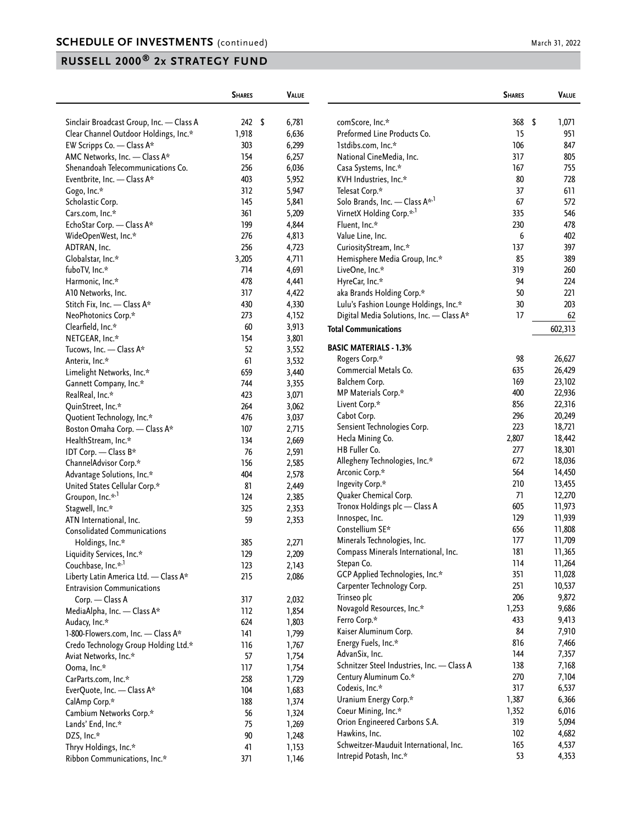|                                              | <b>SHARES</b> | <b>VALUE</b> |                                            | <b>SHARES</b> |      | VALUE   |
|----------------------------------------------|---------------|--------------|--------------------------------------------|---------------|------|---------|
| Sinclair Broadcast Group, Inc. - Class A     | $242 \quad$   | 6,781        | comScore, Inc.*                            | 368           | - \$ | 1,071   |
| Clear Channel Outdoor Holdings, Inc.*        | 1,918         | 6,636        | Preformed Line Products Co.                | 15            |      | 951     |
| EW Scripps Co. - Class A*                    | 303           | 6,299        | 1stdibs.com, Inc.*                         | 106           |      | 847     |
| AMC Networks, Inc. - Class A*                | 154           | 6,257        | National CineMedia, Inc.                   | 317           |      | 805     |
| Shenandoah Telecommunications Co.            | 256           | 6,036        | Casa Systems, Inc.*                        | 167           |      | 755     |
| Eventbrite, Inc. - Class A*                  | 403           | 5,952        | KVH Industries, Inc.*                      | 80            |      | 728     |
| Gogo, Inc.*                                  | 312           | 5,947        | Telesat Corp.*                             | 37            |      | 611     |
| Scholastic Corp.                             | 145           | 5,841        | Solo Brands, Inc. - Class A <sup>*,1</sup> | 67            |      | 572     |
| Cars.com, Inc.*                              | 361           | 5,209        | VirnetX Holding Corp.* <sup>1</sup>        | 335           |      | 546     |
| EchoStar Corp. - Class A*                    | 199           | 4,844        | Fluent, Inc.*                              | 230           |      | 478     |
| WideOpenWest, Inc.*                          | 276           | 4,813        | Value Line, Inc.                           | 6             |      | 402     |
| ADTRAN, Inc.                                 | 256           | 4,723        | CuriosityStream, Inc.*                     | 137           |      | 397     |
| Globalstar, Inc.*                            | 3,205         | 4,711        | Hemisphere Media Group, Inc.*              | 85            |      | 389     |
| fuboTV, Inc.*                                | 714           | 4,691        | LiveOne, Inc.*                             | 319           |      | 260     |
| Harmonic, Inc.*                              | 478           | 4,441        | HyreCar, Inc.*                             | 94            |      | 224     |
| A10 Networks, Inc.                           | 317           | 4,422        | aka Brands Holding Corp.*                  | 50            |      | 221     |
| Stitch Fix, Inc. - Class A*                  | 430           | 4,330        | Lulu's Fashion Lounge Holdings, Inc.*      | 30            |      | 203     |
| NeoPhotonics Corp.*                          | 273           | 4,152        | Digital Media Solutions, Inc. - Class A*   | 17            |      | 62      |
| Clearfield, Inc.*                            | 60            | 3,913        |                                            |               |      |         |
| NETGEAR, Inc.*                               | 154           | 3,801        | <b>Total Communications</b>                |               |      | 602,313 |
| Tucows, Inc. - Class A*                      | 52            | 3,552        | <b>BASIC MATERIALS - 1.3%</b>              |               |      |         |
| Anterix, Inc.*                               | 61            | 3,532        | Rogers Corp.*                              | 98            |      | 26,627  |
| Limelight Networks, Inc.*                    | 659           | 3,440        | Commercial Metals Co.                      | 635           |      | 26,429  |
| Gannett Company, Inc.*                       | 744           | 3,355        | Balchem Corp.                              | 169           |      | 23,102  |
| RealReal, Inc.*                              | 423           | 3,071        | MP Materials Corp.*                        | 400           |      | 22,936  |
| QuinStreet, Inc.*                            | 264           | 3,062        | Livent Corp.*                              | 856           |      | 22,316  |
| Quotient Technology, Inc.*                   | 476           | 3,037        | Cabot Corp.                                | 296           |      | 20,249  |
| Boston Omaha Corp. - Class A*                | 107           | 2,715        | Sensient Technologies Corp.                | 223           |      | 18,721  |
| HealthStream, Inc.*                          | 134           | 2,669        | Hecla Mining Co.                           | 2,807         |      | 18,442  |
| IDT Corp. - Class B*                         | 76            | 2,591        | HB Fuller Co.                              | 277           |      | 18,301  |
| ChannelAdvisor Corp.*                        | 156           | 2,585        | Allegheny Technologies, Inc.*              | 672           |      | 18,036  |
| Advantage Solutions, Inc.*                   | 404           | 2,578        | Arconic Corp.*                             | 564           |      | 14,450  |
| United States Cellular Corp.*                | 81            | 2,449        | Ingevity Corp.*                            | 210           |      | 13,455  |
| Groupon, Inc.* <sup>,1</sup>                 | 124           | 2,385        | Quaker Chemical Corp.                      | 71            |      | 12,270  |
| Stagwell, Inc.*                              | 325           | 2,353        | Tronox Holdings plc - Class A              | 605           |      | 11,973  |
| ATN International, Inc.                      | 59            | 2,353        | Innospec, Inc.                             | 129           |      | 11,939  |
| <b>Consolidated Communications</b>           |               |              | Constellium SE*                            | 656           |      | 11,808  |
|                                              | 385           | 2,271        | Minerals Technologies, Inc.                | 177           |      | 11,709  |
| Holdings, Inc.*<br>Liquidity Services, Inc.* | 129           | 2,209        | Compass Minerals International, Inc.       | 181           |      | 11,365  |
| Couchbase, Inc.* <sup>,1</sup>               | 123           | 2,143        | Stepan Co.                                 | 114           |      | 11,264  |
| Liberty Latin America Ltd. - Class A*        | 215           | 2,086        | GCP Applied Technologies, Inc.*            | 351           |      | 11,028  |
| <b>Entravision Communications</b>            |               |              | Carpenter Technology Corp.                 | 251           |      | 10,537  |
|                                              |               |              | Trinseo plc                                | 206           |      | 9,872   |
| Corp. - Class A                              | 317           | 2,032        | Novagold Resources, Inc.*                  | 1,253         |      | 9,686   |
| MediaAlpha, Inc. - Class A*                  | 112           | 1,854        | Ferro Corp.*                               | 433           |      | 9,413   |
| Audacy, Inc.*                                | 624           | 1,803        | Kaiser Aluminum Corp.                      | 84            |      | 7,910   |
| 1-800-Flowers.com, Inc. - Class A*           | 141           | 1,799        | Energy Fuels, Inc.*                        | 816           |      | 7,466   |
| Credo Technology Group Holding Ltd.*         | 116           | 1,767        | AdvanSix, Inc.                             | 144           |      | 7,357   |
| Aviat Networks, Inc.*                        | 57            | 1,754        | Schnitzer Steel Industries, Inc. - Class A | 138           |      | 7,168   |
| Ooma, Inc.*                                  | 117           | 1,754        | Century Aluminum Co.*                      | 270           |      | 7,104   |
| CarParts.com, Inc.*                          | 258           | 1,729        | Codexis, Inc.*                             | 317           |      | 6,537   |
| EverQuote, Inc. - Class A*                   | 104           | 1,683        | Uranium Energy Corp.*                      | 1,387         |      | 6,366   |
| CalAmp Corp.*                                | 188           | 1,374        | Coeur Mining, Inc.*                        | 1,352         |      | 6,016   |
| Cambium Networks Corp.*                      | 56            | 1,324        | Orion Engineered Carbons S.A.              | 319           |      | 5,094   |
| Lands' End, Inc.*                            | 75            | 1,269        | Hawkins, Inc.                              | 102           |      | 4,682   |
| DZS, Inc.*                                   | $90\,$        | 1,248        | Schweitzer-Mauduit International, Inc.     | 165           |      | 4,537   |
| Thryv Holdings, Inc.*                        | 41            | 1,153        |                                            |               |      |         |
| Ribbon Communications, Inc.*                 | 371           | 1,146        | Intrepid Potash, Inc.*                     | 53            |      | 4,353   |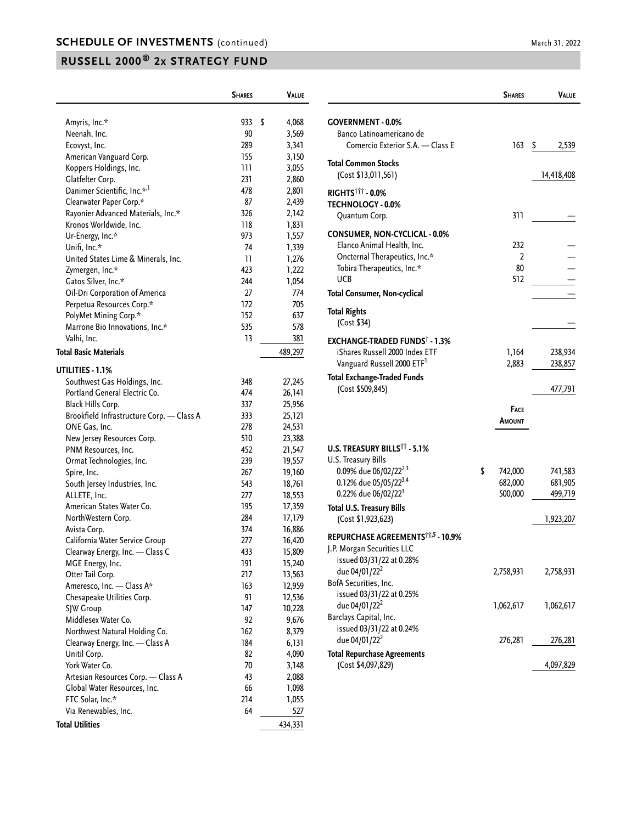|                                           | <b>SHARES</b> | VALUE       |
|-------------------------------------------|---------------|-------------|
|                                           |               |             |
| Amyris, Inc.*                             | 933           | \$<br>4,068 |
| Neenah, Inc.                              | 90            | 3,569       |
| Ecovyst, Inc.                             | 289           | 3,341       |
| American Vanguard Corp.                   | 155           | 3,150       |
| Koppers Holdings, Inc.                    | ווו           | 3,055       |
| Glatfelter Corp.                          | 231           | 2,860       |
| Danimer Scientific, Inc.* <sup>,1</sup>   | 478           | 2,801       |
| Clearwater Paper Corp.*                   | 87            | 2,439       |
| Rayonier Advanced Materials, Inc.*        | 326           | 2,142       |
| Kronos Worldwide, Inc.                    | 118           | 1,831       |
| Ur-Energy, Inc.*                          | 973           | 1,557       |
| Unifi, Inc.*                              | 74            | 1,339       |
| United States Lime & Minerals, Inc.       | 11            | 1,276       |
| Zymergen, Inc.*                           | 423           | 1,222       |
| Gatos Silver, Inc.*                       | 244           | 1,054       |
| Oil-Dri Corporation of America            | 27            | 774         |
| Perpetua Resources Corp.*                 | 172           | 705         |
| PolyMet Mining Corp.*                     | 152           | 637         |
| Marrone Bio Innovations, Inc.*            | 535           | 578         |
| Valhi, Inc.                               | 13            | 381         |
| Total Basic Materials                     |               | 489,297     |
| UTILITIES - 1.1%                          |               |             |
| Southwest Gas Holdings, Inc.              | 348           | 27,245      |
| Portland General Electric Co.             | 474           | 26,141      |
| Black Hills Corp.                         | 337           | 25,956      |
| Brookfield Infrastructure Corp. - Class A | 333           | 25,121      |
| ONE Gas, Inc.                             | 278           | 24,531      |
| New Jersey Resources Corp.                | 510           | 23,388      |
| PNM Resources, Inc.                       | 452           | 21,547      |
| Ormat Technologies, Inc.                  | 239           | 19,557      |
| Spire, Inc.                               | 267           | 19,160      |
| South Jersey Industries, Inc.             | 543           | 18,761      |
| ALLETE, Inc.                              | 277           | 18,553      |
| American States Water Co.                 | 195           | 17,359      |
| NorthWestern Corp.                        | 284           | 17,179      |
| Avista Corp.                              | 374           | 16,886      |
| California Water Service Group            | 277           | 16,420      |
| Clearway Energy, Inc. - Class C           | 433           | 15,809      |
| MGE Energy, Inc.                          | 191           | 15,240      |
| Otter Tail Corp.                          | 217           | 13,563      |
| Ameresco, Inc. - Class A*                 | 163           | 12,959      |
| Chesapeake Utilities Corp.                | 91            | 12,536      |
| SJW Group                                 | 147           | 10,228      |
| Middlesex Water Co.                       | 92            | 9,676       |
| Northwest Natural Holding Co.             | 162           | 8,379       |
| Clearway Energy, Inc. - Class A           | 184           | 6,131       |
| Unitil Corp.                              | 82            | 4,090       |
| York Water Co.                            | 70            | 3,148       |
| Artesian Resources Corp. - Class A        | 43            | 2,088       |
| Global Water Resources, Inc.              | 66            | 1,098       |
| FTC Solar, Inc.*                          | 214           | 1,055       |
| Via Renewables, Inc.                      | 64            | 527         |
| <b>Total Utilities</b>                    |               | 434,331     |
|                                           |               |             |

|                                                                                                                                                                                        | <b>SHARES</b>                 | Value                         |
|----------------------------------------------------------------------------------------------------------------------------------------------------------------------------------------|-------------------------------|-------------------------------|
| <b>GOVERNMENT - 0.0%</b><br>Banco Latinoamericano de<br>Comercio Exterior S.A. - Class E                                                                                               | 163                           | $\sqrt{2}$<br>2,539           |
| <b>Total Common Stocks</b><br>(Cost \$13,011,561)                                                                                                                                      |                               | 14,418,408                    |
| RIGHTS <sup>TTT</sup> - 0.0%<br><b>TECHNOLOGY - 0.0%</b><br>Quantum Corp.                                                                                                              | 311                           |                               |
| <b>CONSUMER, NON-CYCLICAL - 0.0%</b><br>Elanco Animal Health, Inc.<br>Oncternal Therapeutics, Inc.*<br>Tobira Therapeutics, Inc.*<br><b>UCB</b><br><b>Total Consumer, Non-cyclical</b> | 232<br>2<br>80<br>512         |                               |
| <b>Total Rights</b><br>(Cost \$34)                                                                                                                                                     |                               |                               |
| <b>EXCHANGE-TRADED FUNDS® - 1.3%</b><br>iShares Russell 2000 Index ETF<br>Vanguard Russell 2000 ETF <sup>1</sup><br><b>Total Exchange-Traded Funds</b><br>(Cost \$509,845)             | 1,164<br>2,883                | 238,934<br>238,857<br>477,791 |
|                                                                                                                                                                                        | <b>FACE</b><br>AMOUNT         |                               |
| U.S. TREASURY BILLS <sup>11</sup> - 5.1%<br><b>U.S. Treasury Bills</b><br>0.09% due 06/02/22 <sup>2,3</sup>                                                                            | \$                            |                               |
| 0.12% due 05/05/22 <sup>3,4</sup><br>0.22% due 06/02/22 <sup>3</sup>                                                                                                                   | 742,000<br>682,000<br>500,000 | 741,583<br>681,905<br>499,719 |
| <b>Total U.S. Treasury Bills</b><br>(Cost \$1,923,623)                                                                                                                                 |                               | 1,923,207                     |
| REPURCHASE AGREEMENTS <sup>***</sup> -10.9%<br>J.P. Morgan Securities LLC<br>issued 03/31/22 at 0.28%                                                                                  |                               |                               |
| due 04/01/22 <sup>2</sup><br>BofA Securities, Inc.<br>issued 03/31/22 at 0.25%                                                                                                         | 2,758,931                     | 2,758,931                     |
| due 04/01/22 <sup>2</sup><br>Barclays Capital, Inc.<br>issued 03/31/22 at 0.24%                                                                                                        | 1,062,617                     | 1,062,617                     |
| due 04/01/22 <sup>2</sup><br><b>Total Repurchase Agreements</b>                                                                                                                        | 276,281                       | 276,281                       |
| (Cost \$4,097,829)                                                                                                                                                                     |                               | 4,097,829                     |